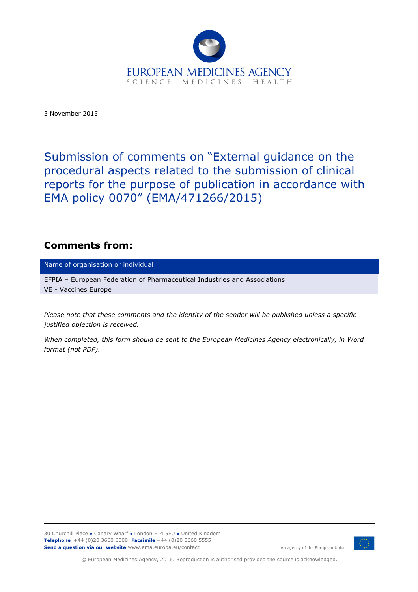

3 November 2015

Submission of comments on "External guidance on the procedural aspects related to the submission of clinical reports for the purpose of publication in accordance with EMA policy 0070" (EMA/471266/2015)

# **Comments from:**

Name of organisation or individual

EFPIA – European Federation of Pharmaceutical Industries and Associations VE - Vaccines Europe

*Please note that these comments and the identity of the sender will be published unless a specific justified objection is received.*

*When completed, this form should be sent to the European Medicines Agency electronically, in Word format (not PDF).*

30 Churchill Place **●** Canary Wharf **●** London E14 5EU **●** United Kingdom **Telephone** +44 (0)20 3660 6000 **Facsimile** +44 (0)20 3660 5555 **Send a question via our website** www.ema.europa.eu/contact



An agency of the European Union

© European Medicines Agency, 2016. Reproduction is authorised provided the source is acknowledged.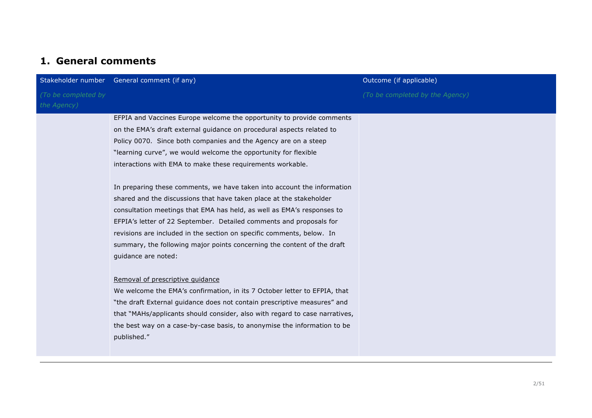# **1. General comments**

|                                    | Stakeholder number General comment (if any)                                                                                                                                                                                                                                                                                                                                                                                                                                                                                                                                                                                                                                                                                                                                                                                                                                                                                                                                                                                                                                                                                                                                                             | Outcome (if applicable)         |
|------------------------------------|---------------------------------------------------------------------------------------------------------------------------------------------------------------------------------------------------------------------------------------------------------------------------------------------------------------------------------------------------------------------------------------------------------------------------------------------------------------------------------------------------------------------------------------------------------------------------------------------------------------------------------------------------------------------------------------------------------------------------------------------------------------------------------------------------------------------------------------------------------------------------------------------------------------------------------------------------------------------------------------------------------------------------------------------------------------------------------------------------------------------------------------------------------------------------------------------------------|---------------------------------|
| (To be completed by<br>the Agency) |                                                                                                                                                                                                                                                                                                                                                                                                                                                                                                                                                                                                                                                                                                                                                                                                                                                                                                                                                                                                                                                                                                                                                                                                         | (To be completed by the Agency) |
|                                    | EFPIA and Vaccines Europe welcome the opportunity to provide comments<br>on the EMA's draft external guidance on procedural aspects related to<br>Policy 0070. Since both companies and the Agency are on a steep<br>"learning curve", we would welcome the opportunity for flexible<br>interactions with EMA to make these requirements workable.<br>In preparing these comments, we have taken into account the information<br>shared and the discussions that have taken place at the stakeholder<br>consultation meetings that EMA has held, as well as EMA's responses to<br>EFPIA's letter of 22 September. Detailed comments and proposals for<br>revisions are included in the section on specific comments, below. In<br>summary, the following major points concerning the content of the draft<br>guidance are noted:<br>Removal of prescriptive quidance<br>We welcome the EMA's confirmation, in its 7 October letter to EFPIA, that<br>"the draft External guidance does not contain prescriptive measures" and<br>that "MAHs/applicants should consider, also with regard to case narratives,<br>the best way on a case-by-case basis, to anonymise the information to be<br>published." |                                 |
|                                    |                                                                                                                                                                                                                                                                                                                                                                                                                                                                                                                                                                                                                                                                                                                                                                                                                                                                                                                                                                                                                                                                                                                                                                                                         |                                 |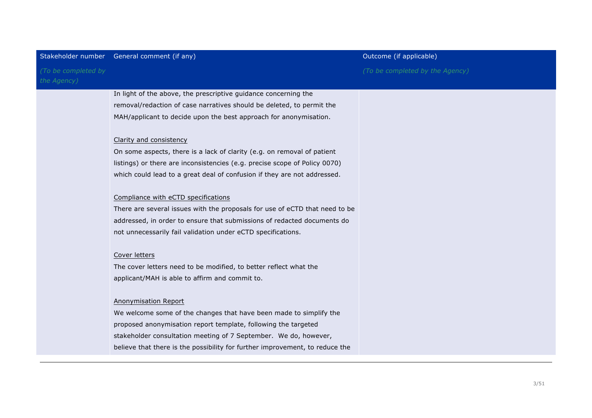| Stakeholder number                 | General comment (if any)                                                     | Outcome (if applicable)         |
|------------------------------------|------------------------------------------------------------------------------|---------------------------------|
| (To be completed by<br>the Agency) |                                                                              | (To be completed by the Agency) |
|                                    | In light of the above, the prescriptive guidance concerning the              |                                 |
|                                    | removal/redaction of case narratives should be deleted, to permit the        |                                 |
|                                    | MAH/applicant to decide upon the best approach for anonymisation.            |                                 |
|                                    | Clarity and consistency                                                      |                                 |
|                                    | On some aspects, there is a lack of clarity (e.g. on removal of patient      |                                 |
|                                    | listings) or there are inconsistencies (e.g. precise scope of Policy 0070)   |                                 |
|                                    | which could lead to a great deal of confusion if they are not addressed.     |                                 |
|                                    | Compliance with eCTD specifications                                          |                                 |
|                                    | There are several issues with the proposals for use of eCTD that need to be  |                                 |
|                                    | addressed, in order to ensure that submissions of redacted documents do      |                                 |
|                                    | not unnecessarily fail validation under eCTD specifications.                 |                                 |
|                                    | Cover letters                                                                |                                 |
|                                    | The cover letters need to be modified, to better reflect what the            |                                 |
|                                    | applicant/MAH is able to affirm and commit to.                               |                                 |
|                                    | <b>Anonymisation Report</b>                                                  |                                 |
|                                    | We welcome some of the changes that have been made to simplify the           |                                 |
|                                    | proposed anonymisation report template, following the targeted               |                                 |
|                                    | stakeholder consultation meeting of 7 September. We do, however,             |                                 |
|                                    | believe that there is the possibility for further improvement, to reduce the |                                 |
|                                    |                                                                              |                                 |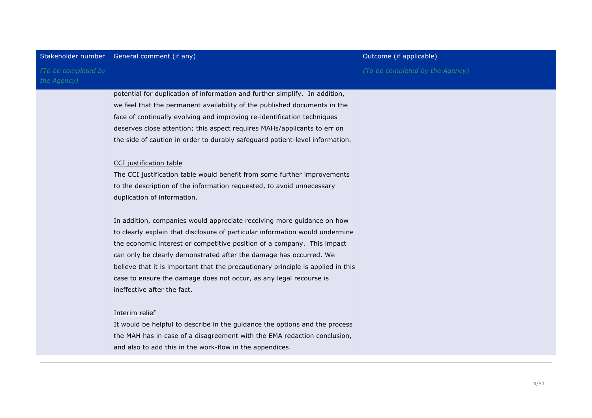|                                    | Stakeholder number General comment (if any)                                      | Outcome (if applicable)         |
|------------------------------------|----------------------------------------------------------------------------------|---------------------------------|
| (To be completed by<br>the Agency) |                                                                                  | (To be completed by the Agency) |
|                                    | potential for duplication of information and further simplify. In addition,      |                                 |
|                                    | we feel that the permanent availability of the published documents in the        |                                 |
|                                    | face of continually evolving and improving re-identification techniques          |                                 |
|                                    | deserves close attention; this aspect requires MAHs/applicants to err on         |                                 |
|                                    | the side of caution in order to durably safeguard patient-level information.     |                                 |
|                                    |                                                                                  |                                 |
|                                    | CCI justification table                                                          |                                 |
|                                    | The CCI justification table would benefit from some further improvements         |                                 |
|                                    | to the description of the information requested, to avoid unnecessary            |                                 |
|                                    | duplication of information.                                                      |                                 |
|                                    |                                                                                  |                                 |
|                                    | In addition, companies would appreciate receiving more guidance on how           |                                 |
|                                    | to clearly explain that disclosure of particular information would undermine     |                                 |
|                                    | the economic interest or competitive position of a company. This impact          |                                 |
|                                    | can only be clearly demonstrated after the damage has occurred. We               |                                 |
|                                    | believe that it is important that the precautionary principle is applied in this |                                 |
|                                    | case to ensure the damage does not occur, as any legal recourse is               |                                 |
|                                    | ineffective after the fact.                                                      |                                 |
|                                    |                                                                                  |                                 |
|                                    | Interim relief                                                                   |                                 |
|                                    | It would be helpful to describe in the guidance the options and the process      |                                 |
|                                    | the MAH has in case of a disagreement with the EMA redaction conclusion,         |                                 |
|                                    | and also to add this in the work-flow in the appendices.                         |                                 |
|                                    |                                                                                  |                                 |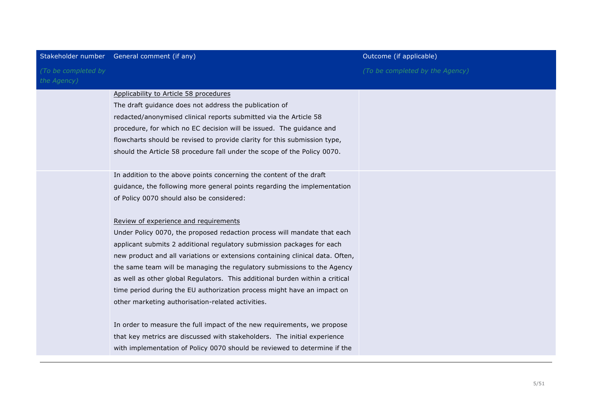|                                    | Stakeholder number General comment (if any)                                   | Outcome (if applicable)         |
|------------------------------------|-------------------------------------------------------------------------------|---------------------------------|
| (To be completed by<br>the Agency) |                                                                               | (To be completed by the Agency) |
|                                    | Applicability to Article 58 procedures                                        |                                 |
|                                    | The draft guidance does not address the publication of                        |                                 |
|                                    | redacted/anonymised clinical reports submitted via the Article 58             |                                 |
|                                    | procedure, for which no EC decision will be issued. The guidance and          |                                 |
|                                    | flowcharts should be revised to provide clarity for this submission type,     |                                 |
|                                    | should the Article 58 procedure fall under the scope of the Policy 0070.      |                                 |
|                                    |                                                                               |                                 |
|                                    | In addition to the above points concerning the content of the draft           |                                 |
|                                    | guidance, the following more general points regarding the implementation      |                                 |
|                                    | of Policy 0070 should also be considered:                                     |                                 |
|                                    |                                                                               |                                 |
|                                    | Review of experience and requirements                                         |                                 |
|                                    | Under Policy 0070, the proposed redaction process will mandate that each      |                                 |
|                                    | applicant submits 2 additional regulatory submission packages for each        |                                 |
|                                    | new product and all variations or extensions containing clinical data. Often, |                                 |
|                                    | the same team will be managing the regulatory submissions to the Agency       |                                 |
|                                    | as well as other global Regulators. This additional burden within a critical  |                                 |
|                                    | time period during the EU authorization process might have an impact on       |                                 |
|                                    | other marketing authorisation-related activities.                             |                                 |
|                                    |                                                                               |                                 |
|                                    | In order to measure the full impact of the new requirements, we propose       |                                 |
|                                    | that key metrics are discussed with stakeholders. The initial experience      |                                 |
|                                    | with implementation of Policy 0070 should be reviewed to determine if the     |                                 |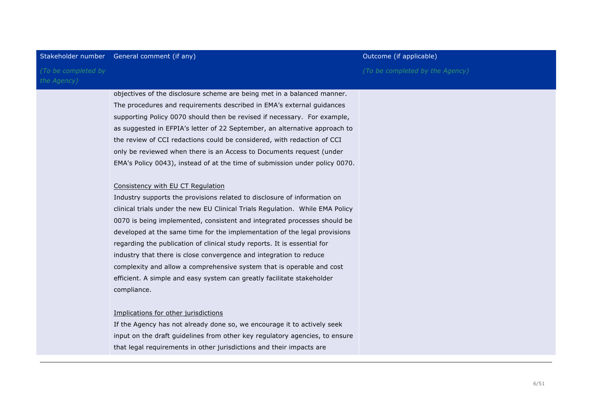## Stakeholder number General comment (if any) and the comment of the comment of the comment of the controller state of the controller state of the controller state of the controller state of the controller state of the contr

*(To be completed by the Agency)*

> objectives of the disclosure scheme are being met in a balanced manner. The procedures and requirements described in EMA's external guidances supporting Policy 0070 should then be revised if necessary. For example, as suggested in EFPIA's letter of 22 September, an alternative approach to the review of CCI redactions could be considered, with redaction of CCI only be reviewed when there is an Access to Documents request (under EMA's Policy 0043), instead of at the time of submission under policy 0070.

## Consistency with EU CT Regulation

Industry supports the provisions related to disclosure of information on clinical trials under the new EU Clinical Trials Regulation. While EMA Policy 0070 is being implemented, consistent and integrated processes should be developed at the same time for the implementation of the legal provisions regarding the publication of clinical study reports. It is essential for industry that there is close convergence and integration to reduce complexity and allow a comprehensive system that is operable and cost efficient. A simple and easy system can greatly facilitate stakeholder compliance.

## Implications for other jurisdictions

If the Agency has not already done so, we encourage it to actively seek input on the draft guidelines from other key regulatory agencies, to ensure that legal requirements in other jurisdictions and their impacts are

*(To be completed by the Agency)*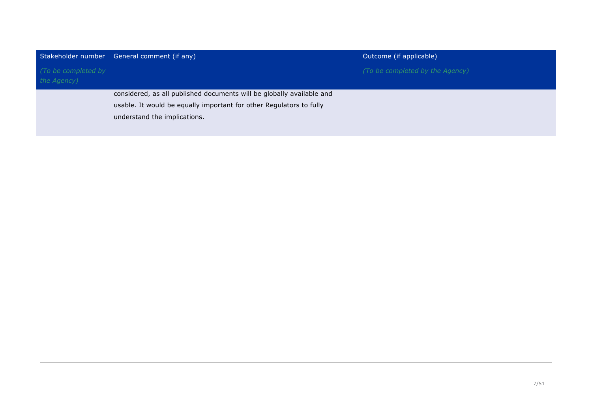| Stakeholder number                 | General comment (if any)                                                                                                                                                     | Outcome (if applicable)         |
|------------------------------------|------------------------------------------------------------------------------------------------------------------------------------------------------------------------------|---------------------------------|
| (To be completed by<br>the Agency) |                                                                                                                                                                              | (To be completed by the Agency) |
|                                    | considered, as all published documents will be globally available and<br>usable. It would be equally important for other Regulators to fully<br>understand the implications. |                                 |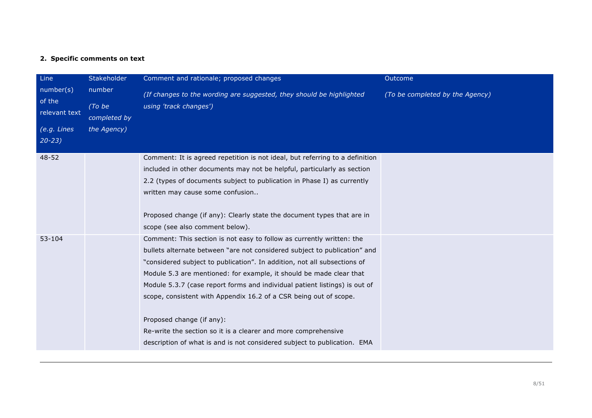# **2. Specific comments on text**

| Line<br>number(s)<br>of the<br>relevant text<br>(e.g. Lines<br>$20 - 23$ | Stakeholder<br>number<br>(To be<br>completed by<br>the Agency) | Comment and rationale; proposed changes<br>(If changes to the wording are suggested, they should be highlighted<br>using 'track changes')                                                                                                                                                                                                                                                                                                                                                                                                                                                                                           | Outcome<br>(To be completed by the Agency) |
|--------------------------------------------------------------------------|----------------------------------------------------------------|-------------------------------------------------------------------------------------------------------------------------------------------------------------------------------------------------------------------------------------------------------------------------------------------------------------------------------------------------------------------------------------------------------------------------------------------------------------------------------------------------------------------------------------------------------------------------------------------------------------------------------------|--------------------------------------------|
| $48 - 52$                                                                |                                                                | Comment: It is agreed repetition is not ideal, but referring to a definition<br>included in other documents may not be helpful, particularly as section<br>2.2 (types of documents subject to publication in Phase I) as currently<br>written may cause some confusion<br>Proposed change (if any): Clearly state the document types that are in<br>scope (see also comment below).                                                                                                                                                                                                                                                 |                                            |
| 53-104                                                                   |                                                                | Comment: This section is not easy to follow as currently written: the<br>bullets alternate between "are not considered subject to publication" and<br>"considered subject to publication". In addition, not all subsections of<br>Module 5.3 are mentioned: for example, it should be made clear that<br>Module 5.3.7 (case report forms and individual patient listings) is out of<br>scope, consistent with Appendix 16.2 of a CSR being out of scope.<br>Proposed change (if any):<br>Re-write the section so it is a clearer and more comprehensive<br>description of what is and is not considered subject to publication. EMA |                                            |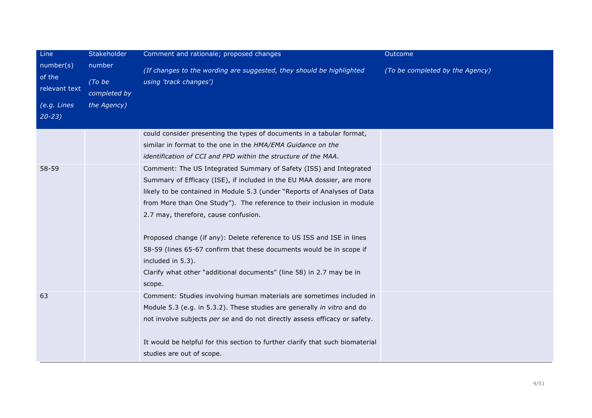| Line<br>number(s)<br>of the<br>relevant text<br>(e.g. Lines<br>$20 - 23$ | Stakeholder<br>number<br>(To be<br>completed by<br>the Agency) | Comment and rationale; proposed changes<br>(If changes to the wording are suggested, they should be highlighted<br>using 'track changes')                                                                                                                                                                                                                                                                                                                                                                                                                                                         | <b>Outcome</b><br>(To be completed by the Agency) |
|--------------------------------------------------------------------------|----------------------------------------------------------------|---------------------------------------------------------------------------------------------------------------------------------------------------------------------------------------------------------------------------------------------------------------------------------------------------------------------------------------------------------------------------------------------------------------------------------------------------------------------------------------------------------------------------------------------------------------------------------------------------|---------------------------------------------------|
|                                                                          |                                                                | could consider presenting the types of documents in a tabular format,<br>similar in format to the one in the HMA/EMA Guidance on the<br>identification of CCI and PPD within the structure of the MAA.                                                                                                                                                                                                                                                                                                                                                                                            |                                                   |
| 58-59                                                                    |                                                                | Comment: The US Integrated Summary of Safety (ISS) and Integrated<br>Summary of Efficacy (ISE), if included in the EU MAA dossier, are more<br>likely to be contained in Module 5.3 (under "Reports of Analyses of Data<br>from More than One Study"). The reference to their inclusion in module<br>2.7 may, therefore, cause confusion.<br>Proposed change (if any): Delete reference to US ISS and ISE in lines<br>58-59 (lines 65-67 confirm that these documents would be in scope if<br>included in 5.3).<br>Clarify what other "additional documents" (line 58) in 2.7 may be in<br>scope. |                                                   |
| 63                                                                       |                                                                | Comment: Studies involving human materials are sometimes included in<br>Module 5.3 (e.g. in 5.3.2). These studies are generally in vitro and do<br>not involve subjects per se and do not directly assess efficacy or safety.<br>It would be helpful for this section to further clarify that such biomaterial<br>studies are out of scope.                                                                                                                                                                                                                                                       |                                                   |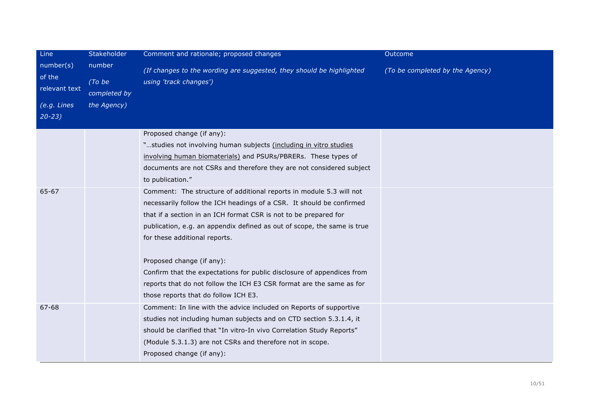| Line                                 | Stakeholder                      | Comment and rationale; proposed changes                                                        | Outcome                         |
|--------------------------------------|----------------------------------|------------------------------------------------------------------------------------------------|---------------------------------|
| number(s)<br>of the<br>relevant text | number<br>(To be<br>completed by | (If changes to the wording are suggested, they should be highlighted<br>using 'track changes') | (To be completed by the Agency) |
| $(e.g.$ Lines                        | the Agency)                      |                                                                                                |                                 |
| $20 - 23$                            |                                  |                                                                                                |                                 |
|                                      |                                  | Proposed change (if any):                                                                      |                                 |
|                                      |                                  | "studies not involving human subjects (including in vitro studies                              |                                 |
|                                      |                                  | involving human biomaterials) and PSURs/PBRERs. These types of                                 |                                 |
|                                      |                                  | documents are not CSRs and therefore they are not considered subject<br>to publication."       |                                 |
| 65-67                                |                                  | Comment: The structure of additional reports in module 5.3 will not                            |                                 |
|                                      |                                  | necessarily follow the ICH headings of a CSR. It should be confirmed                           |                                 |
|                                      |                                  | that if a section in an ICH format CSR is not to be prepared for                               |                                 |
|                                      |                                  | publication, e.g. an appendix defined as out of scope, the same is true                        |                                 |
|                                      |                                  | for these additional reports.                                                                  |                                 |
|                                      |                                  | Proposed change (if any):                                                                      |                                 |
|                                      |                                  | Confirm that the expectations for public disclosure of appendices from                         |                                 |
|                                      |                                  | reports that do not follow the ICH E3 CSR format are the same as for                           |                                 |
|                                      |                                  | those reports that do follow ICH E3.                                                           |                                 |
| 67-68                                |                                  | Comment: In line with the advice included on Reports of supportive                             |                                 |
|                                      |                                  | studies not including human subjects and on CTD section 5.3.1.4, it                            |                                 |
|                                      |                                  | should be clarified that "In vitro-In vivo Correlation Study Reports"                          |                                 |
|                                      |                                  | (Module 5.3.1.3) are not CSRs and therefore not in scope.                                      |                                 |
|                                      |                                  | Proposed change (if any):                                                                      |                                 |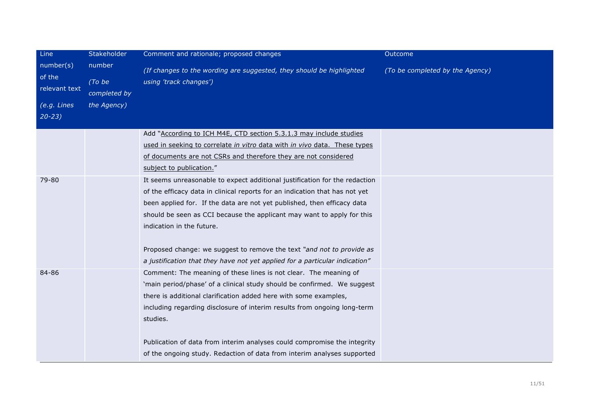| Line                                 | Stakeholder                      | Comment and rationale; proposed changes                                                                                                                                                                                                                                                                                                                                                                                                                                                             | Outcome                         |
|--------------------------------------|----------------------------------|-----------------------------------------------------------------------------------------------------------------------------------------------------------------------------------------------------------------------------------------------------------------------------------------------------------------------------------------------------------------------------------------------------------------------------------------------------------------------------------------------------|---------------------------------|
| number(s)<br>of the<br>relevant text | number<br>(To be<br>completed by | (If changes to the wording are suggested, they should be highlighted<br>using 'track changes')                                                                                                                                                                                                                                                                                                                                                                                                      | (To be completed by the Agency) |
| (e.g. Lines<br>$20 - 23$             | the Agency)                      |                                                                                                                                                                                                                                                                                                                                                                                                                                                                                                     |                                 |
|                                      |                                  | Add "According to ICH M4E, CTD section 5.3.1.3 may include studies<br>used in seeking to correlate in vitro data with in vivo data. These types<br>of documents are not CSRs and therefore they are not considered<br>subject to publication."                                                                                                                                                                                                                                                      |                                 |
| 79-80                                |                                  | It seems unreasonable to expect additional justification for the redaction<br>of the efficacy data in clinical reports for an indication that has not yet<br>been applied for. If the data are not yet published, then efficacy data<br>should be seen as CCI because the applicant may want to apply for this<br>indication in the future.<br>Proposed change: we suggest to remove the text "and not to provide as<br>a justification that they have not yet applied for a particular indication" |                                 |
| 84-86                                |                                  | Comment: The meaning of these lines is not clear. The meaning of<br>'main period/phase' of a clinical study should be confirmed. We suggest<br>there is additional clarification added here with some examples,<br>including regarding disclosure of interim results from ongoing long-term<br>studies.<br>Publication of data from interim analyses could compromise the integrity                                                                                                                 |                                 |
|                                      |                                  | of the ongoing study. Redaction of data from interim analyses supported                                                                                                                                                                                                                                                                                                                                                                                                                             |                                 |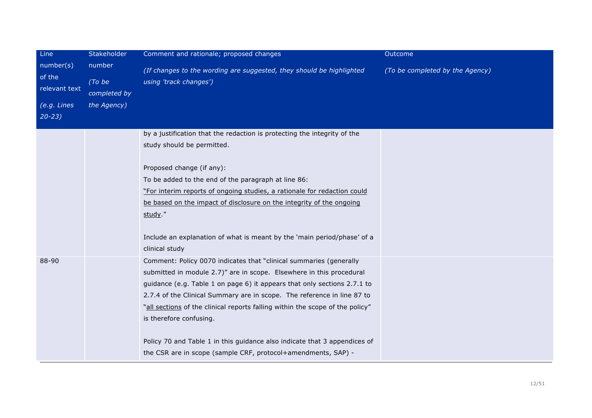| Line                                 | Stakeholder                      | Comment and rationale; proposed changes                                                                                                                                                                                                                                                                                                                                                                       | Outcome                         |
|--------------------------------------|----------------------------------|---------------------------------------------------------------------------------------------------------------------------------------------------------------------------------------------------------------------------------------------------------------------------------------------------------------------------------------------------------------------------------------------------------------|---------------------------------|
| number(s)<br>of the<br>relevant text | number<br>(To be<br>completed by | (If changes to the wording are suggested, they should be highlighted<br>using 'track changes')                                                                                                                                                                                                                                                                                                                | (To be completed by the Agency) |
| $(e.g.$ Lines<br>$20 - 23$           | the Agency)                      |                                                                                                                                                                                                                                                                                                                                                                                                               |                                 |
|                                      |                                  | by a justification that the redaction is protecting the integrity of the<br>study should be permitted.                                                                                                                                                                                                                                                                                                        |                                 |
|                                      |                                  | Proposed change (if any):<br>To be added to the end of the paragraph at line 86:<br>"For interim reports of ongoing studies, a rationale for redaction could<br>be based on the impact of disclosure on the integrity of the ongoing<br>study."                                                                                                                                                               |                                 |
|                                      |                                  | Include an explanation of what is meant by the 'main period/phase' of a<br>clinical study                                                                                                                                                                                                                                                                                                                     |                                 |
| 88-90                                |                                  | Comment: Policy 0070 indicates that "clinical summaries (generally<br>submitted in module 2.7)" are in scope. Elsewhere in this procedural<br>guidance (e.g. Table 1 on page 6) it appears that only sections 2.7.1 to<br>2.7.4 of the Clinical Summary are in scope. The reference in line 87 to<br>"all sections of the clinical reports falling within the scope of the policy"<br>is therefore confusing. |                                 |
|                                      |                                  | Policy 70 and Table 1 in this guidance also indicate that 3 appendices of<br>the CSR are in scope (sample CRF, protocol+amendments, SAP) -                                                                                                                                                                                                                                                                    |                                 |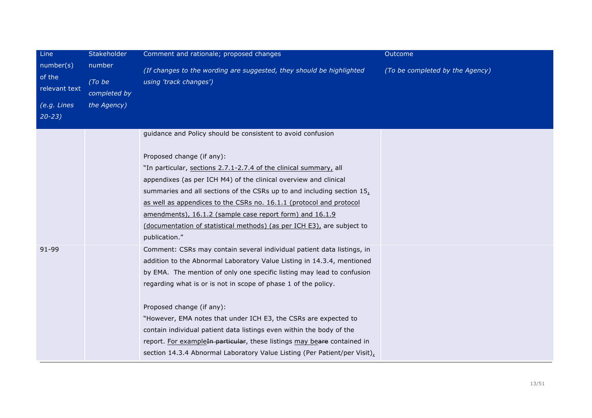| Line                                 | Stakeholder                      | Comment and rationale; proposed changes                                                        | Outcome                         |
|--------------------------------------|----------------------------------|------------------------------------------------------------------------------------------------|---------------------------------|
| number(s)<br>of the<br>relevant text | number<br>(To be<br>completed by | (If changes to the wording are suggested, they should be highlighted<br>using 'track changes') | (To be completed by the Agency) |
| (e.g. Lines                          | the Agency)                      |                                                                                                |                                 |
| $20 - 23$                            |                                  |                                                                                                |                                 |
|                                      |                                  | guidance and Policy should be consistent to avoid confusion                                    |                                 |
|                                      |                                  | Proposed change (if any):                                                                      |                                 |
|                                      |                                  | "In particular, sections 2.7.1-2.7.4 of the clinical summary, all                              |                                 |
|                                      |                                  | appendixes (as per ICH M4) of the clinical overview and clinical                               |                                 |
|                                      |                                  | summaries and all sections of the CSRs up to and including section $15L$                       |                                 |
|                                      |                                  | as well as appendices to the CSRs no. 16.1.1 (protocol and protocol                            |                                 |
|                                      |                                  | amendments), 16.1.2 (sample case report form) and 16.1.9                                       |                                 |
|                                      |                                  | (documentation of statistical methods) (as per ICH E3), are subject to                         |                                 |
|                                      |                                  | publication."                                                                                  |                                 |
| 91-99                                |                                  | Comment: CSRs may contain several individual patient data listings, in                         |                                 |
|                                      |                                  | addition to the Abnormal Laboratory Value Listing in 14.3.4, mentioned                         |                                 |
|                                      |                                  | by EMA. The mention of only one specific listing may lead to confusion                         |                                 |
|                                      |                                  | regarding what is or is not in scope of phase 1 of the policy.                                 |                                 |
|                                      |                                  | Proposed change (if any):                                                                      |                                 |
|                                      |                                  | "However, EMA notes that under ICH E3, the CSRs are expected to                                |                                 |
|                                      |                                  | contain individual patient data listings even within the body of the                           |                                 |
|                                      |                                  | report. For exampleIn particular, these listings may beare contained in                        |                                 |
|                                      |                                  | section 14.3.4 Abnormal Laboratory Value Listing (Per Patient/per Visit),                      |                                 |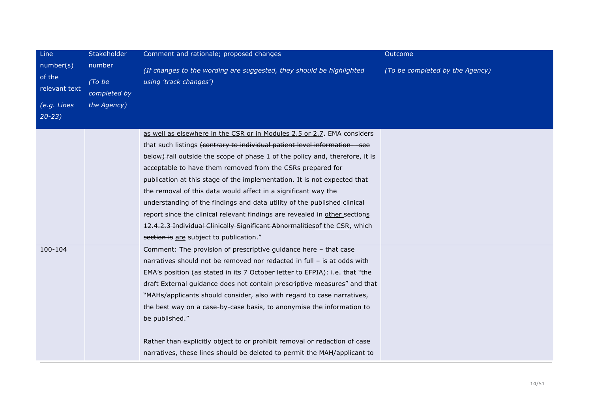| Line                                 | Stakeholder                      | Comment and rationale; proposed changes                                                        | Outcome                         |
|--------------------------------------|----------------------------------|------------------------------------------------------------------------------------------------|---------------------------------|
| number(s)<br>of the<br>relevant text | number<br>(To be<br>completed by | (If changes to the wording are suggested, they should be highlighted<br>using 'track changes') | (To be completed by the Agency) |
| (e.g. Lines                          | the Agency)                      |                                                                                                |                                 |
| $20 - 23$                            |                                  |                                                                                                |                                 |
|                                      |                                  | as well as elsewhere in the CSR or in Modules 2.5 or 2.7. EMA considers                        |                                 |
|                                      |                                  | that such listings (contrary to individual patient level information - see                     |                                 |
|                                      |                                  | below) fall outside the scope of phase 1 of the policy and, therefore, it is                   |                                 |
|                                      |                                  | acceptable to have them removed from the CSRs prepared for                                     |                                 |
|                                      |                                  | publication at this stage of the implementation. It is not expected that                       |                                 |
|                                      |                                  | the removal of this data would affect in a significant way the                                 |                                 |
|                                      |                                  | understanding of the findings and data utility of the published clinical                       |                                 |
|                                      |                                  | report since the clinical relevant findings are revealed in other sections                     |                                 |
|                                      |                                  | 12.4.2.3 Individual Clinically Significant Abnormalities of the CSR, which                     |                                 |
|                                      |                                  | section is are subject to publication."                                                        |                                 |
| 100-104                              |                                  | Comment: The provision of prescriptive guidance here - that case                               |                                 |
|                                      |                                  | narratives should not be removed nor redacted in full - is at odds with                        |                                 |
|                                      |                                  | EMA's position (as stated in its 7 October letter to EFPIA): i.e. that "the                    |                                 |
|                                      |                                  | draft External guidance does not contain prescriptive measures" and that                       |                                 |
|                                      |                                  | "MAHs/applicants should consider, also with regard to case narratives,                         |                                 |
|                                      |                                  | the best way on a case-by-case basis, to anonymise the information to                          |                                 |
|                                      |                                  | be published."                                                                                 |                                 |
|                                      |                                  | Rather than explicitly object to or prohibit removal or redaction of case                      |                                 |
|                                      |                                  | narratives, these lines should be deleted to permit the MAH/applicant to                       |                                 |
|                                      |                                  |                                                                                                |                                 |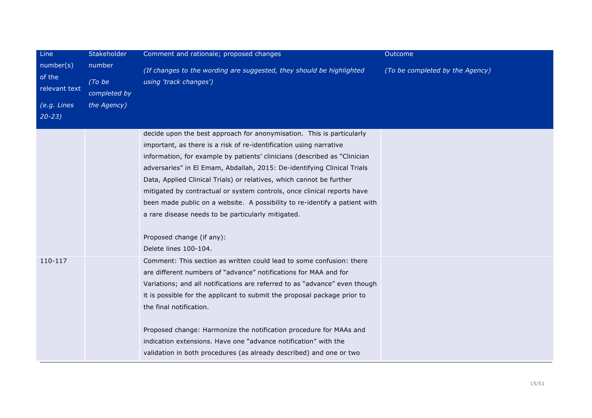| Line                                                             | Stakeholder                                     | Comment and rationale; proposed changes                                                                                                                                                                                                                                                                                                                                                                                                                                                                                                                                                                                                           | Outcome                         |
|------------------------------------------------------------------|-------------------------------------------------|---------------------------------------------------------------------------------------------------------------------------------------------------------------------------------------------------------------------------------------------------------------------------------------------------------------------------------------------------------------------------------------------------------------------------------------------------------------------------------------------------------------------------------------------------------------------------------------------------------------------------------------------------|---------------------------------|
| number(s)<br>of the<br>relevant text<br>(e.g. Lines<br>$20 - 23$ | number<br>(To be<br>completed by<br>the Agency) | (If changes to the wording are suggested, they should be highlighted<br>using 'track changes')                                                                                                                                                                                                                                                                                                                                                                                                                                                                                                                                                    | (To be completed by the Agency) |
|                                                                  |                                                 | decide upon the best approach for anonymisation. This is particularly<br>important, as there is a risk of re-identification using narrative<br>information, for example by patients' clinicians (described as "Clinician"<br>adversaries" in El Emam, Abdallah, 2015: De-identifying Clinical Trials<br>Data, Applied Clinical Trials) or relatives, which cannot be further<br>mitigated by contractual or system controls, once clinical reports have<br>been made public on a website. A possibility to re-identify a patient with<br>a rare disease needs to be particularly mitigated.<br>Proposed change (if any):<br>Delete lines 100-104. |                                 |
| 110-117                                                          |                                                 | Comment: This section as written could lead to some confusion: there<br>are different numbers of "advance" notifications for MAA and for<br>Variations; and all notifications are referred to as "advance" even though<br>it is possible for the applicant to submit the proposal package prior to<br>the final notification.<br>Proposed change: Harmonize the notification procedure for MAAs and<br>indication extensions. Have one "advance notification" with the<br>validation in both procedures (as already described) and one or two                                                                                                     |                                 |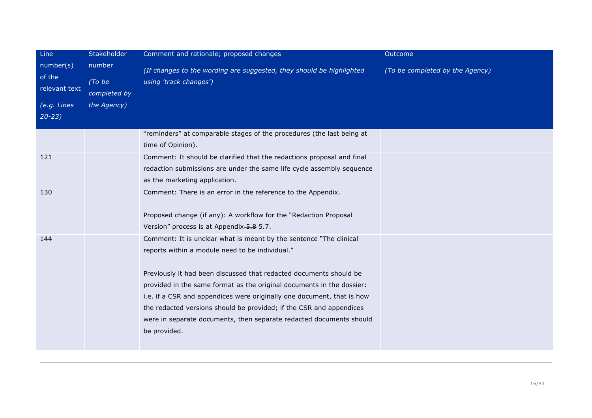| Line<br>number(s)<br>of the<br>relevant text<br>(e.g. Lines<br>$20 - 23$ | Stakeholder<br>number<br>(To be<br>completed by<br>the Agency) | Comment and rationale; proposed changes<br>(If changes to the wording are suggested, they should be highlighted<br>using 'track changes')                                                                                                                                                                                                                                                                                                                                                                    | Outcome<br>(To be completed by the Agency) |
|--------------------------------------------------------------------------|----------------------------------------------------------------|--------------------------------------------------------------------------------------------------------------------------------------------------------------------------------------------------------------------------------------------------------------------------------------------------------------------------------------------------------------------------------------------------------------------------------------------------------------------------------------------------------------|--------------------------------------------|
|                                                                          |                                                                | "reminders" at comparable stages of the procedures (the last being at                                                                                                                                                                                                                                                                                                                                                                                                                                        |                                            |
|                                                                          |                                                                | time of Opinion).                                                                                                                                                                                                                                                                                                                                                                                                                                                                                            |                                            |
| 121                                                                      |                                                                | Comment: It should be clarified that the redactions proposal and final<br>redaction submissions are under the same life cycle assembly sequence<br>as the marketing application.                                                                                                                                                                                                                                                                                                                             |                                            |
| 130                                                                      |                                                                | Comment: There is an error in the reference to the Appendix.<br>Proposed change (if any): A workflow for the "Redaction Proposal<br>Version" process is at Appendix 5.8 5.7.                                                                                                                                                                                                                                                                                                                                 |                                            |
| 144                                                                      |                                                                | Comment: It is unclear what is meant by the sentence "The clinical<br>reports within a module need to be individual."<br>Previously it had been discussed that redacted documents should be<br>provided in the same format as the original documents in the dossier:<br>i.e. if a CSR and appendices were originally one document, that is how<br>the redacted versions should be provided; if the CSR and appendices<br>were in separate documents, then separate redacted documents should<br>be provided. |                                            |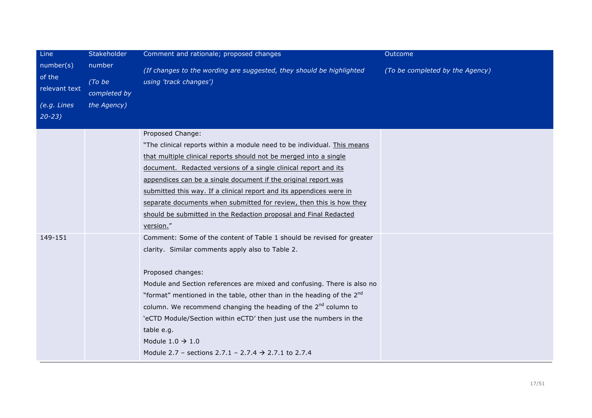| Line                                                | Stakeholder                                     | Comment and rationale; proposed changes                                                                                                                                                                                                                                                                                                                                                                                                                                                                                                                                              | Outcome                         |
|-----------------------------------------------------|-------------------------------------------------|--------------------------------------------------------------------------------------------------------------------------------------------------------------------------------------------------------------------------------------------------------------------------------------------------------------------------------------------------------------------------------------------------------------------------------------------------------------------------------------------------------------------------------------------------------------------------------------|---------------------------------|
| number(s)<br>of the<br>relevant text<br>(e.g. Lines | number<br>(To be<br>completed by<br>the Agency) | (If changes to the wording are suggested, they should be highlighted<br>using 'track changes')                                                                                                                                                                                                                                                                                                                                                                                                                                                                                       | (To be completed by the Agency) |
| $20 - 23$                                           |                                                 |                                                                                                                                                                                                                                                                                                                                                                                                                                                                                                                                                                                      |                                 |
|                                                     |                                                 | Proposed Change:<br>"The clinical reports within a module need to be individual. This means<br>that multiple clinical reports should not be merged into a single<br>document. Redacted versions of a single clinical report and its<br>appendices can be a single document if the original report was<br>submitted this way. If a clinical report and its appendices were in<br>separate documents when submitted for review, then this is how they<br>should be submitted in the Redaction proposal and Final Redacted<br>version."                                                 |                                 |
| 149-151                                             |                                                 | Comment: Some of the content of Table 1 should be revised for greater<br>clarity. Similar comments apply also to Table 2.<br>Proposed changes:<br>Module and Section references are mixed and confusing. There is also no<br>"format" mentioned in the table, other than in the heading of the 2 <sup>nd</sup><br>column. We recommend changing the heading of the 2 <sup>nd</sup> column to<br>'eCTD Module/Section within eCTD' then just use the numbers in the<br>table e.g.<br>Module $1.0 \rightarrow 1.0$<br>Module 2.7 - sections 2.7.1 - 2.7.4 $\rightarrow$ 2.7.1 to 2.7.4 |                                 |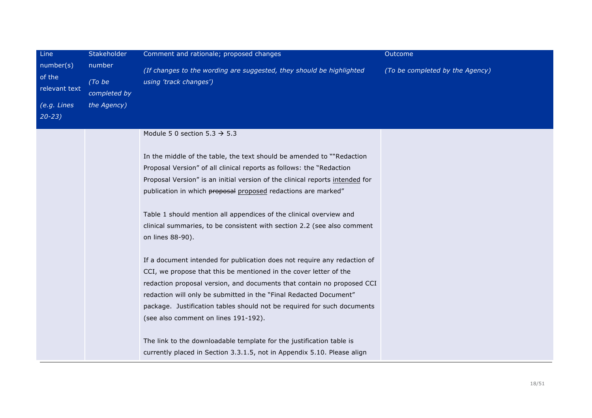| Line                                 | Stakeholder                      | Comment and rationale; proposed changes                                                        | Outcome                         |
|--------------------------------------|----------------------------------|------------------------------------------------------------------------------------------------|---------------------------------|
| number(s)<br>of the<br>relevant text | number<br>(To be<br>completed by | (If changes to the wording are suggested, they should be highlighted<br>using 'track changes') | (To be completed by the Agency) |
| (e.g. Lines                          | the Agency)                      |                                                                                                |                                 |
| $20 - 23$                            |                                  |                                                                                                |                                 |
|                                      |                                  | Module 5 0 section $5.3 \rightarrow 5.3$                                                       |                                 |
|                                      |                                  | In the middle of the table, the text should be amended to ""Redaction                          |                                 |
|                                      |                                  | Proposal Version" of all clinical reports as follows: the "Redaction                           |                                 |
|                                      |                                  | Proposal Version" is an initial version of the clinical reports intended for                   |                                 |
|                                      |                                  | publication in which proposal proposed redactions are marked"                                  |                                 |
|                                      |                                  | Table 1 should mention all appendices of the clinical overview and                             |                                 |
|                                      |                                  | clinical summaries, to be consistent with section 2.2 (see also comment                        |                                 |
|                                      |                                  | on lines 88-90).                                                                               |                                 |
|                                      |                                  | If a document intended for publication does not require any redaction of                       |                                 |
|                                      |                                  | CCI, we propose that this be mentioned in the cover letter of the                              |                                 |
|                                      |                                  | redaction proposal version, and documents that contain no proposed CCI                         |                                 |
|                                      |                                  | redaction will only be submitted in the "Final Redacted Document"                              |                                 |
|                                      |                                  | package. Justification tables should not be required for such documents                        |                                 |
|                                      |                                  | (see also comment on lines 191-192).                                                           |                                 |
|                                      |                                  | The link to the downloadable template for the justification table is                           |                                 |
|                                      |                                  | currently placed in Section 3.3.1.5, not in Appendix 5.10. Please align                        |                                 |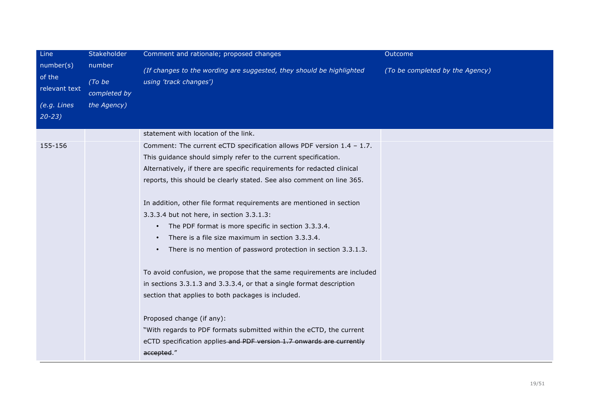| Line                                                                          | Stakeholder                                     | Comment and rationale; proposed changes                                                        | Outcome                         |
|-------------------------------------------------------------------------------|-------------------------------------------------|------------------------------------------------------------------------------------------------|---------------------------------|
| number(s)<br>of the<br>relevant text<br>$\overline{(e.g. Lines}$<br>$20 - 23$ | number<br>(To be<br>completed by<br>the Agency) | (If changes to the wording are suggested, they should be highlighted<br>using 'track changes') | (To be completed by the Agency) |
|                                                                               |                                                 | statement with location of the link.                                                           |                                 |
| 155-156                                                                       |                                                 | Comment: The current eCTD specification allows PDF version $1.4 - 1.7$ .                       |                                 |
|                                                                               |                                                 | This guidance should simply refer to the current specification.                                |                                 |
|                                                                               |                                                 | Alternatively, if there are specific requirements for redacted clinical                        |                                 |
|                                                                               |                                                 | reports, this should be clearly stated. See also comment on line 365.                          |                                 |
|                                                                               |                                                 | In addition, other file format requirements are mentioned in section                           |                                 |
|                                                                               |                                                 | 3.3.3.4 but not here, in section 3.3.1.3:                                                      |                                 |
|                                                                               |                                                 | The PDF format is more specific in section 3.3.3.4.<br>$\bullet$                               |                                 |
|                                                                               |                                                 | There is a file size maximum in section 3.3.3.4.<br>$\bullet$                                  |                                 |
|                                                                               |                                                 | There is no mention of password protection in section 3.3.1.3.<br>$\bullet$                    |                                 |
|                                                                               |                                                 | To avoid confusion, we propose that the same requirements are included                         |                                 |
|                                                                               |                                                 | in sections 3.3.1.3 and 3.3.3.4, or that a single format description                           |                                 |
|                                                                               |                                                 | section that applies to both packages is included.                                             |                                 |
|                                                                               |                                                 | Proposed change (if any):                                                                      |                                 |
|                                                                               |                                                 | "With regards to PDF formats submitted within the eCTD, the current                            |                                 |
|                                                                               |                                                 | eCTD specification applies and PDF version 1.7 onwards are currently                           |                                 |
|                                                                               |                                                 | accepted."                                                                                     |                                 |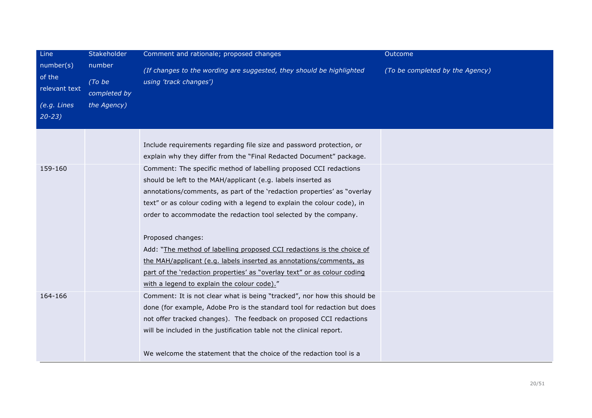| Line<br>number(s)<br>of the<br>relevant text<br>(e.g. Lines | Stakeholder<br>number<br>(To be<br>completed by<br>the Agency) | Comment and rationale; proposed changes                                                                                                                                                                                                                                                                                                                                                                                                                                                                                                                                                                                                                      | Outcome                         |
|-------------------------------------------------------------|----------------------------------------------------------------|--------------------------------------------------------------------------------------------------------------------------------------------------------------------------------------------------------------------------------------------------------------------------------------------------------------------------------------------------------------------------------------------------------------------------------------------------------------------------------------------------------------------------------------------------------------------------------------------------------------------------------------------------------------|---------------------------------|
|                                                             |                                                                | (If changes to the wording are suggested, they should be highlighted<br>using 'track changes')                                                                                                                                                                                                                                                                                                                                                                                                                                                                                                                                                               | (To be completed by the Agency) |
| $20 - 23$                                                   |                                                                |                                                                                                                                                                                                                                                                                                                                                                                                                                                                                                                                                                                                                                                              |                                 |
|                                                             |                                                                | Include requirements regarding file size and password protection, or<br>explain why they differ from the "Final Redacted Document" package.                                                                                                                                                                                                                                                                                                                                                                                                                                                                                                                  |                                 |
| 159-160                                                     |                                                                | Comment: The specific method of labelling proposed CCI redactions<br>should be left to the MAH/applicant (e.g. labels inserted as<br>annotations/comments, as part of the 'redaction properties' as "overlay<br>text" or as colour coding with a legend to explain the colour code), in<br>order to accommodate the redaction tool selected by the company.<br>Proposed changes:<br>Add: "The method of labelling proposed CCI redactions is the choice of<br>the MAH/applicant (e.g. labels inserted as annotations/comments, as<br>part of the 'redaction properties' as "overlay text" or as colour coding<br>with a legend to explain the colour code)." |                                 |
| 164-166                                                     |                                                                | Comment: It is not clear what is being "tracked", nor how this should be<br>done (for example, Adobe Pro is the standard tool for redaction but does<br>not offer tracked changes). The feedback on proposed CCI redactions<br>will be included in the justification table not the clinical report.<br>We welcome the statement that the choice of the redaction tool is a                                                                                                                                                                                                                                                                                   |                                 |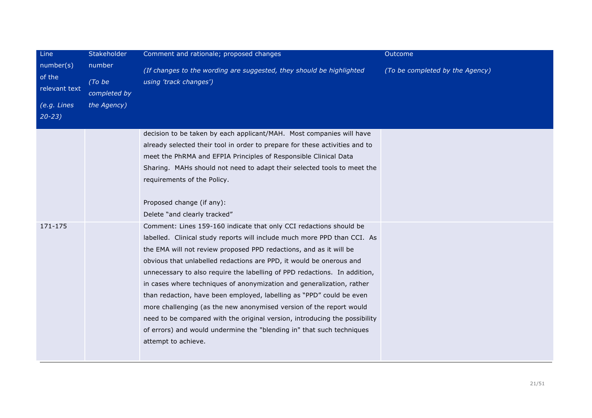| Line                                 | Stakeholder                      | Comment and rationale; proposed changes                                                                                                                                                                                                                                                                                                                                                                                                                                                                                                                                                                                                                                                                                                                                        | Outcome                         |
|--------------------------------------|----------------------------------|--------------------------------------------------------------------------------------------------------------------------------------------------------------------------------------------------------------------------------------------------------------------------------------------------------------------------------------------------------------------------------------------------------------------------------------------------------------------------------------------------------------------------------------------------------------------------------------------------------------------------------------------------------------------------------------------------------------------------------------------------------------------------------|---------------------------------|
| number(s)<br>of the<br>relevant text | number<br>(To be<br>completed by | (If changes to the wording are suggested, they should be highlighted<br>using 'track changes')                                                                                                                                                                                                                                                                                                                                                                                                                                                                                                                                                                                                                                                                                 | (To be completed by the Agency) |
| (e.g. Lines                          | the Agency)                      |                                                                                                                                                                                                                                                                                                                                                                                                                                                                                                                                                                                                                                                                                                                                                                                |                                 |
| $20 - 23$                            |                                  |                                                                                                                                                                                                                                                                                                                                                                                                                                                                                                                                                                                                                                                                                                                                                                                |                                 |
|                                      |                                  | decision to be taken by each applicant/MAH. Most companies will have<br>already selected their tool in order to prepare for these activities and to<br>meet the PhRMA and EFPIA Principles of Responsible Clinical Data<br>Sharing. MAHs should not need to adapt their selected tools to meet the<br>requirements of the Policy.                                                                                                                                                                                                                                                                                                                                                                                                                                              |                                 |
|                                      |                                  | Proposed change (if any):                                                                                                                                                                                                                                                                                                                                                                                                                                                                                                                                                                                                                                                                                                                                                      |                                 |
|                                      |                                  | Delete "and clearly tracked"                                                                                                                                                                                                                                                                                                                                                                                                                                                                                                                                                                                                                                                                                                                                                   |                                 |
| 171-175                              |                                  | Comment: Lines 159-160 indicate that only CCI redactions should be<br>labelled. Clinical study reports will include much more PPD than CCI. As<br>the EMA will not review proposed PPD redactions, and as it will be<br>obvious that unlabelled redactions are PPD, it would be onerous and<br>unnecessary to also require the labelling of PPD redactions. In addition,<br>in cases where techniques of anonymization and generalization, rather<br>than redaction, have been employed, labelling as "PPD" could be even<br>more challenging (as the new anonymised version of the report would<br>need to be compared with the original version, introducing the possibility<br>of errors) and would undermine the "blending in" that such techniques<br>attempt to achieve. |                                 |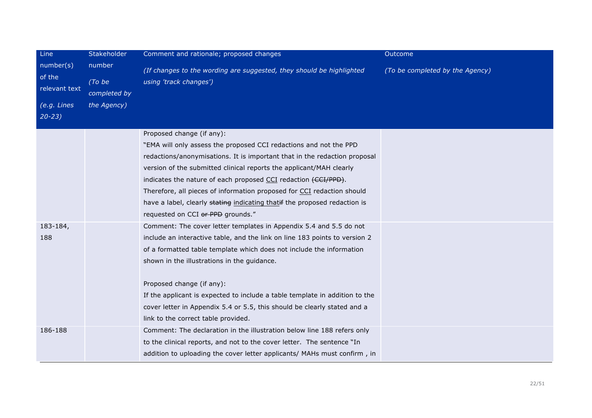| Line                                                             | Stakeholder                                     | Comment and rationale; proposed changes                                                                                                                                                                                                                                                                                                                                                                                                                                                                          | Outcome                         |
|------------------------------------------------------------------|-------------------------------------------------|------------------------------------------------------------------------------------------------------------------------------------------------------------------------------------------------------------------------------------------------------------------------------------------------------------------------------------------------------------------------------------------------------------------------------------------------------------------------------------------------------------------|---------------------------------|
| number(s)<br>of the<br>relevant text<br>(e.g. Lines<br>$20 - 23$ | number<br>(To be<br>completed by<br>the Agency) | (If changes to the wording are suggested, they should be highlighted<br>using 'track changes')                                                                                                                                                                                                                                                                                                                                                                                                                   | (To be completed by the Agency) |
|                                                                  |                                                 | Proposed change (if any):<br>"EMA will only assess the proposed CCI redactions and not the PPD<br>redactions/anonymisations. It is important that in the redaction proposal<br>version of the submitted clinical reports the applicant/MAH clearly<br>indicates the nature of each proposed CCI redaction (CCI/PPD).<br>Therefore, all pieces of information proposed for CCI redaction should<br>have a label, clearly stating indicating thatif the proposed redaction is<br>requested on CCI or PPD grounds." |                                 |
| 183-184,<br>188                                                  |                                                 | Comment: The cover letter templates in Appendix 5.4 and 5.5 do not<br>include an interactive table, and the link on line 183 points to version 2<br>of a formatted table template which does not include the information<br>shown in the illustrations in the guidance.<br>Proposed change (if any):<br>If the applicant is expected to include a table template in addition to the<br>cover letter in Appendix 5.4 or 5.5, this should be clearly stated and a<br>link to the correct table provided.           |                                 |
| 186-188                                                          |                                                 | Comment: The declaration in the illustration below line 188 refers only<br>to the clinical reports, and not to the cover letter. The sentence "In<br>addition to uploading the cover letter applicants/ MAHs must confirm, in                                                                                                                                                                                                                                                                                    |                                 |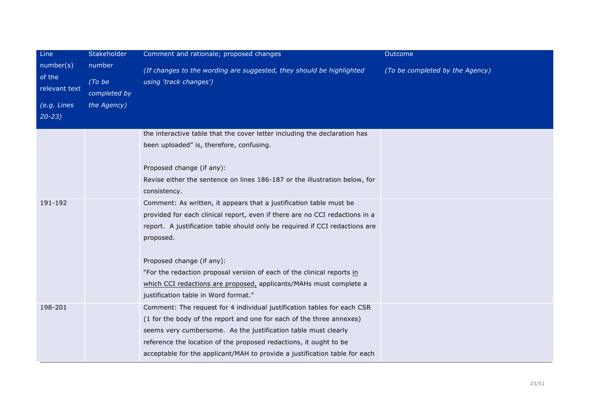| Line                                 | Stakeholder                      | Comment and rationale; proposed changes                                                                                                                                                                                                                                                                                                                                                                                                                                                                                                                                                                                                                                        | Outcome                         |
|--------------------------------------|----------------------------------|--------------------------------------------------------------------------------------------------------------------------------------------------------------------------------------------------------------------------------------------------------------------------------------------------------------------------------------------------------------------------------------------------------------------------------------------------------------------------------------------------------------------------------------------------------------------------------------------------------------------------------------------------------------------------------|---------------------------------|
| number(s)<br>of the<br>relevant text | number<br>(To be<br>completed by | (If changes to the wording are suggested, they should be highlighted<br>using 'track changes')                                                                                                                                                                                                                                                                                                                                                                                                                                                                                                                                                                                 | (To be completed by the Agency) |
| $(e.g.$ Lines<br>$20 - 23$           | the Agency)                      |                                                                                                                                                                                                                                                                                                                                                                                                                                                                                                                                                                                                                                                                                |                                 |
| 191-192                              |                                  | the interactive table that the cover letter including the declaration has<br>been uploaded" is, therefore, confusing.<br>Proposed change (if any):<br>Revise either the sentence on lines 186-187 or the illustration below, for<br>consistency.<br>Comment: As written, it appears that a justification table must be<br>provided for each clinical report, even if there are no CCI redactions in a<br>report. A justification table should only be required if CCI redactions are<br>proposed.<br>Proposed change (if any):<br>"For the redaction proposal version of each of the clinical reports in<br>which CCI redactions are proposed, applicants/MAHs must complete a |                                 |
| 198-201                              |                                  | justification table in Word format."<br>Comment: The request for 4 individual justification tables for each CSR<br>(1 for the body of the report and one for each of the three annexes)<br>seems very cumbersome. As the justification table must clearly<br>reference the location of the proposed redactions, it ought to be<br>acceptable for the applicant/MAH to provide a justification table for each                                                                                                                                                                                                                                                                   |                                 |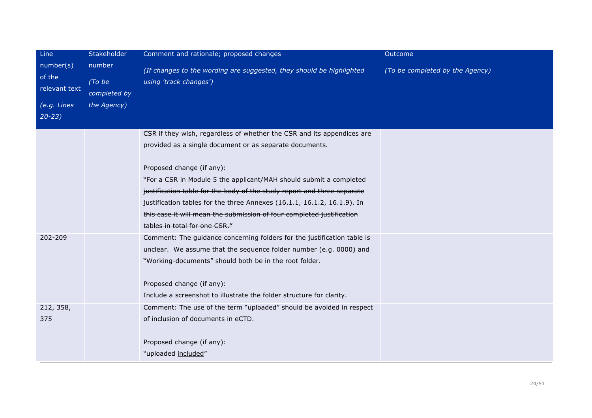| Line                                 | Stakeholder                      | Comment and rationale; proposed changes                                                        | Outcome                         |
|--------------------------------------|----------------------------------|------------------------------------------------------------------------------------------------|---------------------------------|
| number(s)<br>of the<br>relevant text | number<br>(To be<br>completed by | (If changes to the wording are suggested, they should be highlighted<br>using 'track changes') | (To be completed by the Agency) |
| (e.g. Lines                          | the Agency)                      |                                                                                                |                                 |
| $20 - 23$                            |                                  |                                                                                                |                                 |
|                                      |                                  | CSR if they wish, regardless of whether the CSR and its appendices are                         |                                 |
|                                      |                                  | provided as a single document or as separate documents.                                        |                                 |
|                                      |                                  | Proposed change (if any):                                                                      |                                 |
|                                      |                                  | "For a CSR in Module 5 the applicant/MAH should submit a completed                             |                                 |
|                                      |                                  | justification table for the body of the study report and three separate                        |                                 |
|                                      |                                  | justification tables for the three Annexes (16.1.1, 16.1.2, 16.1.9). In                        |                                 |
|                                      |                                  | this case it will mean the submission of four completed justification                          |                                 |
|                                      |                                  | tables in total for one CSR."                                                                  |                                 |
| 202-209                              |                                  | Comment: The guidance concerning folders for the justification table is                        |                                 |
|                                      |                                  | unclear. We assume that the sequence folder number (e.g. 0000) and                             |                                 |
|                                      |                                  | "Working-documents" should both be in the root folder.                                         |                                 |
|                                      |                                  | Proposed change (if any):                                                                      |                                 |
|                                      |                                  | Include a screenshot to illustrate the folder structure for clarity.                           |                                 |
| 212, 358,                            |                                  | Comment: The use of the term "uploaded" should be avoided in respect                           |                                 |
| 375                                  |                                  | of inclusion of documents in eCTD.                                                             |                                 |
|                                      |                                  | Proposed change (if any):                                                                      |                                 |
|                                      |                                  | "uploaded included"                                                                            |                                 |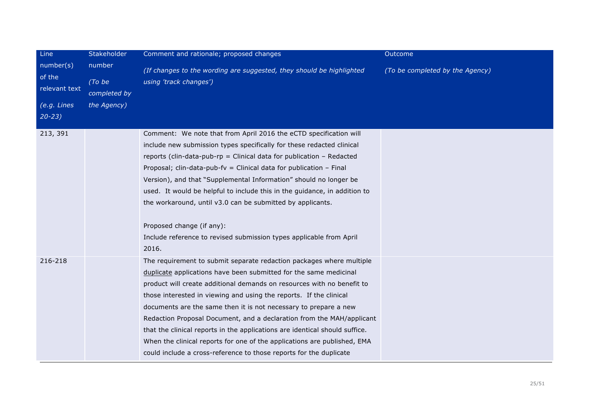| Line                                                             | Stakeholder                                     | Comment and rationale; proposed changes                                                                                                                                                                                                                                                                                                                                                                                                                                                                                                                                                                                                                                 | Outcome                         |
|------------------------------------------------------------------|-------------------------------------------------|-------------------------------------------------------------------------------------------------------------------------------------------------------------------------------------------------------------------------------------------------------------------------------------------------------------------------------------------------------------------------------------------------------------------------------------------------------------------------------------------------------------------------------------------------------------------------------------------------------------------------------------------------------------------------|---------------------------------|
| number(s)<br>of the<br>relevant text<br>(e.g. Lines<br>$20 - 23$ | number<br>(To be<br>completed by<br>the Agency) | (If changes to the wording are suggested, they should be highlighted<br>using 'track changes')                                                                                                                                                                                                                                                                                                                                                                                                                                                                                                                                                                          | (To be completed by the Agency) |
| 213, 391                                                         |                                                 | Comment: We note that from April 2016 the eCTD specification will<br>include new submission types specifically for these redacted clinical<br>reports (clin-data-pub-rp = Clinical data for publication - Redacted<br>Proposal; clin-data-pub-fv = Clinical data for publication $-$ Final<br>Version), and that "Supplemental Information" should no longer be<br>used. It would be helpful to include this in the guidance, in addition to<br>the workaround, until v3.0 can be submitted by applicants.<br>Proposed change (if any):<br>Include reference to revised submission types applicable from April<br>2016.                                                 |                                 |
| 216-218                                                          |                                                 | The requirement to submit separate redaction packages where multiple<br>duplicate applications have been submitted for the same medicinal<br>product will create additional demands on resources with no benefit to<br>those interested in viewing and using the reports. If the clinical<br>documents are the same then it is not necessary to prepare a new<br>Redaction Proposal Document, and a declaration from the MAH/applicant<br>that the clinical reports in the applications are identical should suffice.<br>When the clinical reports for one of the applications are published, EMA<br>could include a cross-reference to those reports for the duplicate |                                 |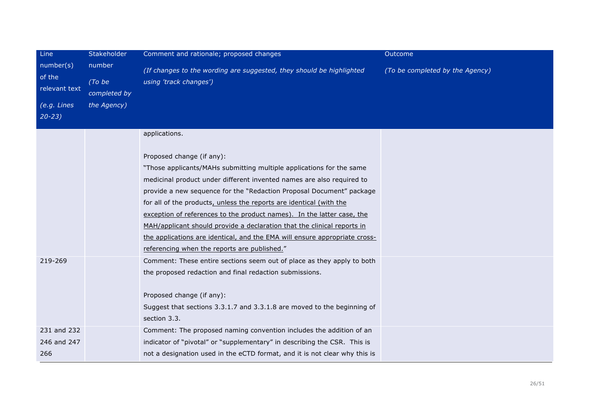| Line                                                             | Stakeholder                                     | Comment and rationale; proposed changes                                                                                                                                                                                                                                                                                                                                                                                                                                                                                                                                                                                       | Outcome                         |
|------------------------------------------------------------------|-------------------------------------------------|-------------------------------------------------------------------------------------------------------------------------------------------------------------------------------------------------------------------------------------------------------------------------------------------------------------------------------------------------------------------------------------------------------------------------------------------------------------------------------------------------------------------------------------------------------------------------------------------------------------------------------|---------------------------------|
| number(s)<br>of the<br>relevant text<br>(e.g. Lines<br>$20 - 23$ | number<br>(To be<br>completed by<br>the Agency) | (If changes to the wording are suggested, they should be highlighted<br>using 'track changes')                                                                                                                                                                                                                                                                                                                                                                                                                                                                                                                                | (To be completed by the Agency) |
|                                                                  |                                                 | applications.<br>Proposed change (if any):<br>"Those applicants/MAHs submitting multiple applications for the same<br>medicinal product under different invented names are also required to<br>provide a new sequence for the "Redaction Proposal Document" package<br>for all of the products, unless the reports are identical (with the<br>exception of references to the product names). In the latter case, the<br>MAH/applicant should provide a declaration that the clinical reports in<br>the applications are identical, and the EMA will ensure appropriate cross-<br>referencing when the reports are published." |                                 |
| 219-269                                                          |                                                 | Comment: These entire sections seem out of place as they apply to both<br>the proposed redaction and final redaction submissions.<br>Proposed change (if any):<br>Suggest that sections 3.3.1.7 and 3.3.1.8 are moved to the beginning of<br>section 3.3.                                                                                                                                                                                                                                                                                                                                                                     |                                 |
| 231 and 232<br>246 and 247<br>266                                |                                                 | Comment: The proposed naming convention includes the addition of an<br>indicator of "pivotal" or "supplementary" in describing the CSR. This is<br>not a designation used in the eCTD format, and it is not clear why this is                                                                                                                                                                                                                                                                                                                                                                                                 |                                 |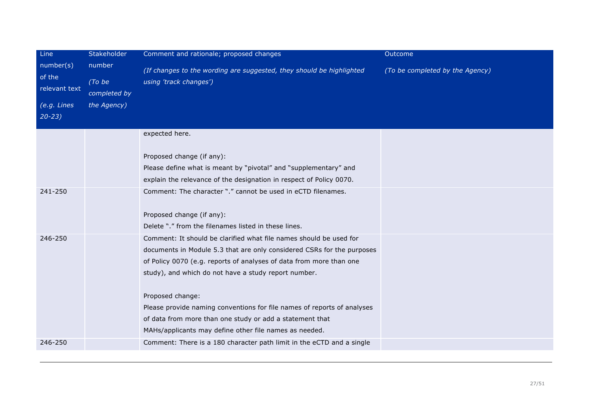| Line                                                | Stakeholder                                     | Comment and rationale; proposed changes                                                                                                                                                                                                                                     | Outcome                         |
|-----------------------------------------------------|-------------------------------------------------|-----------------------------------------------------------------------------------------------------------------------------------------------------------------------------------------------------------------------------------------------------------------------------|---------------------------------|
| number(s)<br>of the<br>relevant text<br>(e.g. Lines | number<br>(To be<br>completed by<br>the Agency) | (If changes to the wording are suggested, they should be highlighted<br>using 'track changes')                                                                                                                                                                              | (To be completed by the Agency) |
| $20 - 23$                                           |                                                 |                                                                                                                                                                                                                                                                             |                                 |
|                                                     |                                                 | expected here.                                                                                                                                                                                                                                                              |                                 |
|                                                     |                                                 | Proposed change (if any):<br>Please define what is meant by "pivotal" and "supplementary" and                                                                                                                                                                               |                                 |
|                                                     |                                                 | explain the relevance of the designation in respect of Policy 0070.                                                                                                                                                                                                         |                                 |
| 241-250                                             |                                                 | Comment: The character "." cannot be used in eCTD filenames.<br>Proposed change (if any):                                                                                                                                                                                   |                                 |
|                                                     |                                                 | Delete "." from the filenames listed in these lines.                                                                                                                                                                                                                        |                                 |
| 246-250                                             |                                                 | Comment: It should be clarified what file names should be used for<br>documents in Module 5.3 that are only considered CSRs for the purposes<br>of Policy 0070 (e.g. reports of analyses of data from more than one<br>study), and which do not have a study report number. |                                 |
|                                                     |                                                 | Proposed change:<br>Please provide naming conventions for file names of reports of analyses                                                                                                                                                                                 |                                 |
|                                                     |                                                 | of data from more than one study or add a statement that                                                                                                                                                                                                                    |                                 |
|                                                     |                                                 | MAHs/applicants may define other file names as needed.                                                                                                                                                                                                                      |                                 |
| 246-250                                             |                                                 | Comment: There is a 180 character path limit in the eCTD and a single                                                                                                                                                                                                       |                                 |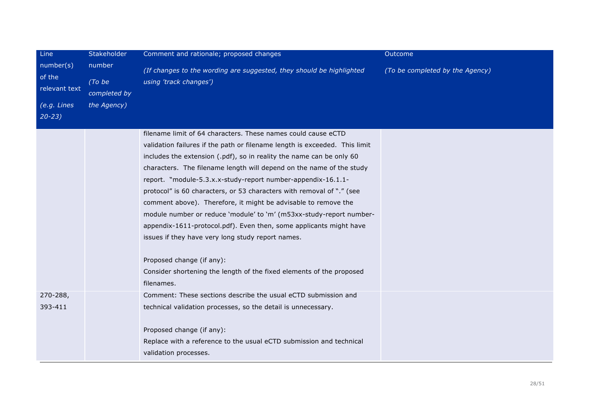| Line                                 | Stakeholder                      | Comment and rationale; proposed changes                                                        | Outcome                         |
|--------------------------------------|----------------------------------|------------------------------------------------------------------------------------------------|---------------------------------|
| number(s)<br>of the<br>relevant text | number<br>(To be<br>completed by | (If changes to the wording are suggested, they should be highlighted<br>using 'track changes') | (To be completed by the Agency) |
| (e.g. Lines                          | the Agency)                      |                                                                                                |                                 |
| $20 - 23$                            |                                  |                                                                                                |                                 |
|                                      |                                  | filename limit of 64 characters. These names could cause eCTD                                  |                                 |
|                                      |                                  | validation failures if the path or filename length is exceeded. This limit                     |                                 |
|                                      |                                  | includes the extension (.pdf), so in reality the name can be only 60                           |                                 |
|                                      |                                  | characters. The filename length will depend on the name of the study                           |                                 |
|                                      |                                  | report. "module-5.3.x.x-study-report number-appendix-16.1.1-                                   |                                 |
|                                      |                                  | protocol" is 60 characters, or 53 characters with removal of "." (see                          |                                 |
|                                      |                                  | comment above). Therefore, it might be advisable to remove the                                 |                                 |
|                                      |                                  | module number or reduce 'module' to 'm' (m53xx-study-report number-                            |                                 |
|                                      |                                  | appendix-1611-protocol.pdf). Even then, some applicants might have                             |                                 |
|                                      |                                  | issues if they have very long study report names.                                              |                                 |
|                                      |                                  | Proposed change (if any):                                                                      |                                 |
|                                      |                                  | Consider shortening the length of the fixed elements of the proposed                           |                                 |
|                                      |                                  | filenames.                                                                                     |                                 |
| 270-288,                             |                                  | Comment: These sections describe the usual eCTD submission and                                 |                                 |
| 393-411                              |                                  | technical validation processes, so the detail is unnecessary.                                  |                                 |
|                                      |                                  | Proposed change (if any):                                                                      |                                 |
|                                      |                                  | Replace with a reference to the usual eCTD submission and technical                            |                                 |
|                                      |                                  | validation processes.                                                                          |                                 |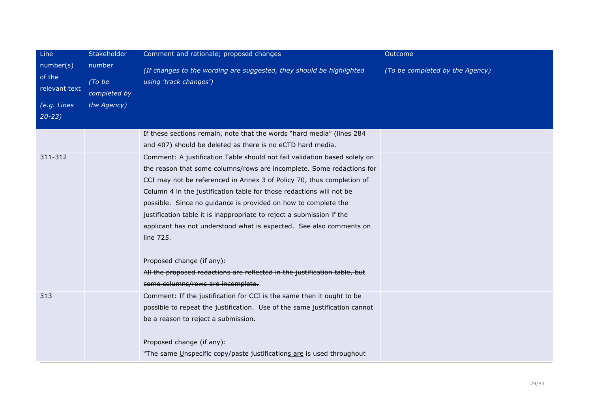| Line<br>number(s)<br>of the<br>relevant text<br>(e.g. Lines<br>$20 - 23$ | Stakeholder<br>number<br>(To be<br>completed by<br>the Agency) | Comment and rationale; proposed changes<br>(If changes to the wording are suggested, they should be highlighted<br>using 'track changes')                                                                                                                                                                                                                                                                                                                                                                                          | Outcome<br>(To be completed by the Agency) |
|--------------------------------------------------------------------------|----------------------------------------------------------------|------------------------------------------------------------------------------------------------------------------------------------------------------------------------------------------------------------------------------------------------------------------------------------------------------------------------------------------------------------------------------------------------------------------------------------------------------------------------------------------------------------------------------------|--------------------------------------------|
|                                                                          |                                                                | If these sections remain, note that the words "hard media" (lines 284<br>and 407) should be deleted as there is no eCTD hard media.                                                                                                                                                                                                                                                                                                                                                                                                |                                            |
| 311-312                                                                  |                                                                | Comment: A justification Table should not fail validation based solely on<br>the reason that some columns/rows are incomplete. Some redactions for<br>CCI may not be referenced in Annex 3 of Policy 70, thus completion of<br>Column 4 in the justification table for those redactions will not be<br>possible. Since no guidance is provided on how to complete the<br>justification table it is inappropriate to reject a submission if the<br>applicant has not understood what is expected. See also comments on<br>line 725. |                                            |
|                                                                          |                                                                | Proposed change (if any):<br>All the proposed redactions are reflected in the justification table, but<br>some columns/rows are incomplete.                                                                                                                                                                                                                                                                                                                                                                                        |                                            |
| 313                                                                      |                                                                | Comment: If the justification for CCI is the same then it ought to be<br>possible to repeat the justification. Use of the same justification cannot<br>be a reason to reject a submission.<br>Proposed change (if any):<br>"The same Unspecific copy/paste justifications are is used throughout                                                                                                                                                                                                                                   |                                            |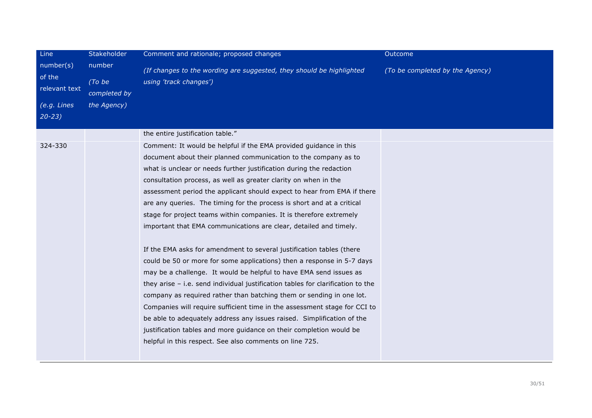| Line                                                             | Stakeholder                                     | Comment and rationale; proposed changes                                                                                                                                                                                                                                                                                                                                                                                                                                                                                                                                                                                                                                                                                                                                                                                                                                                                                                                                                                                                                                                                                                                                                                                                                     | Outcome                         |
|------------------------------------------------------------------|-------------------------------------------------|-------------------------------------------------------------------------------------------------------------------------------------------------------------------------------------------------------------------------------------------------------------------------------------------------------------------------------------------------------------------------------------------------------------------------------------------------------------------------------------------------------------------------------------------------------------------------------------------------------------------------------------------------------------------------------------------------------------------------------------------------------------------------------------------------------------------------------------------------------------------------------------------------------------------------------------------------------------------------------------------------------------------------------------------------------------------------------------------------------------------------------------------------------------------------------------------------------------------------------------------------------------|---------------------------------|
| number(s)<br>of the<br>relevant text<br>(e.g. Lines<br>$20 - 23$ | number<br>(To be<br>completed by<br>the Agency) | (If changes to the wording are suggested, they should be highlighted<br>using 'track changes')                                                                                                                                                                                                                                                                                                                                                                                                                                                                                                                                                                                                                                                                                                                                                                                                                                                                                                                                                                                                                                                                                                                                                              | (To be completed by the Agency) |
|                                                                  |                                                 | the entire justification table."                                                                                                                                                                                                                                                                                                                                                                                                                                                                                                                                                                                                                                                                                                                                                                                                                                                                                                                                                                                                                                                                                                                                                                                                                            |                                 |
| 324-330                                                          |                                                 | Comment: It would be helpful if the EMA provided guidance in this<br>document about their planned communication to the company as to<br>what is unclear or needs further justification during the redaction<br>consultation process, as well as greater clarity on when in the<br>assessment period the applicant should expect to hear from EMA if there<br>are any queries. The timing for the process is short and at a critical<br>stage for project teams within companies. It is therefore extremely<br>important that EMA communications are clear, detailed and timely.<br>If the EMA asks for amendment to several justification tables (there<br>could be 50 or more for some applications) then a response in 5-7 days<br>may be a challenge. It would be helpful to have EMA send issues as<br>they arise – i.e. send individual justification tables for clarification to the<br>company as required rather than batching them or sending in one lot.<br>Companies will require sufficient time in the assessment stage for CCI to<br>be able to adequately address any issues raised. Simplification of the<br>justification tables and more guidance on their completion would be<br>helpful in this respect. See also comments on line 725. |                                 |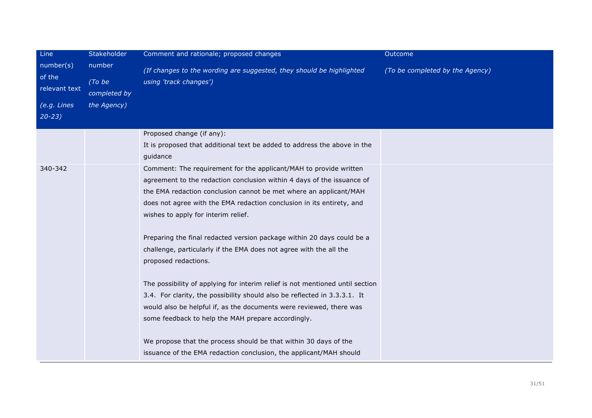| Line<br>number(s)<br>of the<br>relevant text<br>(e.g. Lines<br>$20 - 23$ | Stakeholder<br>number<br>(To be<br>completed by<br>the Agency) | Comment and rationale; proposed changes<br>(If changes to the wording are suggested, they should be highlighted<br>using 'track changes')<br>Proposed change (if any):<br>It is proposed that additional text be added to address the above in the                                                                                                                                                                                                                                                                                                                                                                                                                                                                                                                                                              | Outcome<br>(To be completed by the Agency) |
|--------------------------------------------------------------------------|----------------------------------------------------------------|-----------------------------------------------------------------------------------------------------------------------------------------------------------------------------------------------------------------------------------------------------------------------------------------------------------------------------------------------------------------------------------------------------------------------------------------------------------------------------------------------------------------------------------------------------------------------------------------------------------------------------------------------------------------------------------------------------------------------------------------------------------------------------------------------------------------|--------------------------------------------|
| 340-342                                                                  |                                                                | guidance<br>Comment: The requirement for the applicant/MAH to provide written<br>agreement to the redaction conclusion within 4 days of the issuance of<br>the EMA redaction conclusion cannot be met where an applicant/MAH<br>does not agree with the EMA redaction conclusion in its entirety, and<br>wishes to apply for interim relief.<br>Preparing the final redacted version package within 20 days could be a<br>challenge, particularly if the EMA does not agree with the all the<br>proposed redactions.<br>The possibility of applying for interim relief is not mentioned until section<br>3.4. For clarity, the possibility should also be reflected in 3.3.3.1. It<br>would also be helpful if, as the documents were reviewed, there was<br>some feedback to help the MAH prepare accordingly. |                                            |
|                                                                          |                                                                | We propose that the process should be that within 30 days of the<br>issuance of the EMA redaction conclusion, the applicant/MAH should                                                                                                                                                                                                                                                                                                                                                                                                                                                                                                                                                                                                                                                                          |                                            |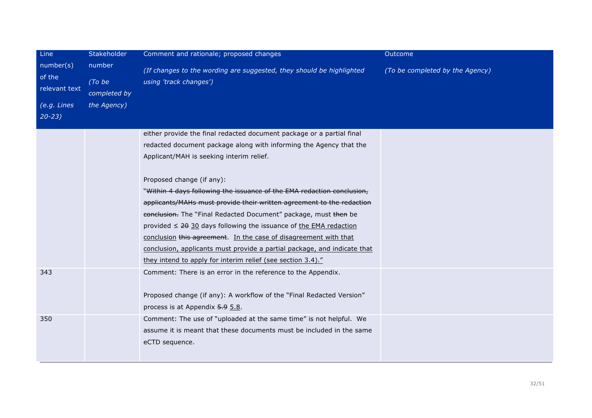| Line<br>number(s)<br>of the<br>relevant text<br>(e.g. Lines<br>$20 - 23$ | Stakeholder<br>number<br>(To be<br>completed by<br>the Agency) | Comment and rationale; proposed changes<br>(If changes to the wording are suggested, they should be highlighted<br>using 'track changes')                                                                                                                                                                                                                                                                                                                                                                                                                                                                                                                                                                                           | Outcome<br>(To be completed by the Agency) |
|--------------------------------------------------------------------------|----------------------------------------------------------------|-------------------------------------------------------------------------------------------------------------------------------------------------------------------------------------------------------------------------------------------------------------------------------------------------------------------------------------------------------------------------------------------------------------------------------------------------------------------------------------------------------------------------------------------------------------------------------------------------------------------------------------------------------------------------------------------------------------------------------------|--------------------------------------------|
|                                                                          |                                                                | either provide the final redacted document package or a partial final<br>redacted document package along with informing the Agency that the<br>Applicant/MAH is seeking interim relief.<br>Proposed change (if any):<br>"Within 4 days following the issuance of the EMA redaction conclusion,<br>applicants/MAHs must provide their written agreement to the redaction<br>conclusion. The "Final Redacted Document" package, must then be<br>provided $\leq$ 20 30 days following the issuance of the EMA redaction<br>conclusion this agreement. In the case of disagreement with that<br>conclusion, applicants must provide a partial package, and indicate that<br>they intend to apply for interim relief (see section 3.4)." |                                            |
| 343                                                                      |                                                                | Comment: There is an error in the reference to the Appendix.<br>Proposed change (if any): A workflow of the "Final Redacted Version"<br>process is at Appendix 5.9 5.8.                                                                                                                                                                                                                                                                                                                                                                                                                                                                                                                                                             |                                            |
| 350                                                                      |                                                                | Comment: The use of "uploaded at the same time" is not helpful. We<br>assume it is meant that these documents must be included in the same<br>eCTD sequence.                                                                                                                                                                                                                                                                                                                                                                                                                                                                                                                                                                        |                                            |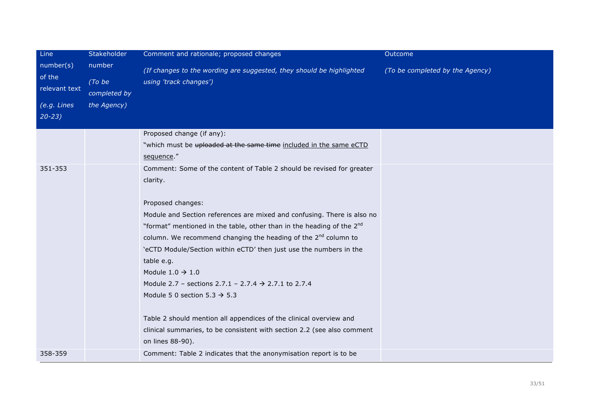| Line                                                             | Stakeholder                                     | Comment and rationale; proposed changes                                                                                                                                                                                                                                                                                                                                                                                                                                                                                                                                                                                                                                                                                       | Outcome                         |
|------------------------------------------------------------------|-------------------------------------------------|-------------------------------------------------------------------------------------------------------------------------------------------------------------------------------------------------------------------------------------------------------------------------------------------------------------------------------------------------------------------------------------------------------------------------------------------------------------------------------------------------------------------------------------------------------------------------------------------------------------------------------------------------------------------------------------------------------------------------------|---------------------------------|
| number(s)<br>of the<br>relevant text<br>(e.g. Lines<br>$20 - 23$ | number<br>(To be<br>completed by<br>the Agency) | (If changes to the wording are suggested, they should be highlighted<br>using 'track changes')<br>Proposed change (if any):<br>"which must be uploaded at the same time included in the same eCTD                                                                                                                                                                                                                                                                                                                                                                                                                                                                                                                             | (To be completed by the Agency) |
|                                                                  |                                                 | sequence."                                                                                                                                                                                                                                                                                                                                                                                                                                                                                                                                                                                                                                                                                                                    |                                 |
| 351-353                                                          |                                                 | Comment: Some of the content of Table 2 should be revised for greater<br>clarity.<br>Proposed changes:<br>Module and Section references are mixed and confusing. There is also no<br>"format" mentioned in the table, other than in the heading of the 2nd<br>column. We recommend changing the heading of the 2 <sup>nd</sup> column to<br>'eCTD Module/Section within eCTD' then just use the numbers in the<br>table e.g.<br>Module $1.0 \rightarrow 1.0$<br>Module 2.7 – sections 2.7.1 – 2.7.4 $\rightarrow$ 2.7.1 to 2.7.4<br>Module 5 0 section 5.3 $\rightarrow$ 5.3<br>Table 2 should mention all appendices of the clinical overview and<br>clinical summaries, to be consistent with section 2.2 (see also comment |                                 |
|                                                                  |                                                 | on lines 88-90).                                                                                                                                                                                                                                                                                                                                                                                                                                                                                                                                                                                                                                                                                                              |                                 |
| 358-359                                                          |                                                 | Comment: Table 2 indicates that the anonymisation report is to be                                                                                                                                                                                                                                                                                                                                                                                                                                                                                                                                                                                                                                                             |                                 |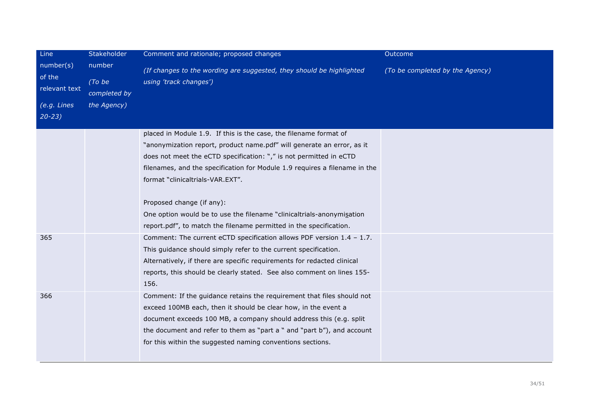| Line                                                             | Stakeholder                                     | Comment and rationale; proposed changes                                                                                                                                                                                                                                                                                                                                                                                                                                                                         | Outcome                         |
|------------------------------------------------------------------|-------------------------------------------------|-----------------------------------------------------------------------------------------------------------------------------------------------------------------------------------------------------------------------------------------------------------------------------------------------------------------------------------------------------------------------------------------------------------------------------------------------------------------------------------------------------------------|---------------------------------|
| number(s)<br>of the<br>relevant text<br>(e.g. Lines<br>$20 - 23$ | number<br>(To be<br>completed by<br>the Agency) | (If changes to the wording are suggested, they should be highlighted<br>using 'track changes')                                                                                                                                                                                                                                                                                                                                                                                                                  | (To be completed by the Agency) |
|                                                                  |                                                 | placed in Module 1.9. If this is the case, the filename format of<br>"anonymization report, product name.pdf" will generate an error, as it<br>does not meet the eCTD specification: "," is not permitted in eCTD<br>filenames, and the specification for Module 1.9 requires a filename in the<br>format "clinicaltrials-VAR.EXT".<br>Proposed change (if any):<br>One option would be to use the filename "clinicaltrials-anonymisation<br>report.pdf", to match the filename permitted in the specification. |                                 |
| 365                                                              |                                                 | Comment: The current eCTD specification allows PDF version $1.4 - 1.7$ .<br>This guidance should simply refer to the current specification.<br>Alternatively, if there are specific requirements for redacted clinical<br>reports, this should be clearly stated. See also comment on lines 155-<br>156.                                                                                                                                                                                                        |                                 |
| 366                                                              |                                                 | Comment: If the guidance retains the requirement that files should not<br>exceed 100MB each, then it should be clear how, in the event a<br>document exceeds 100 MB, a company should address this (e.g. split<br>the document and refer to them as "part a " and "part b"), and account<br>for this within the suggested naming conventions sections.                                                                                                                                                          |                                 |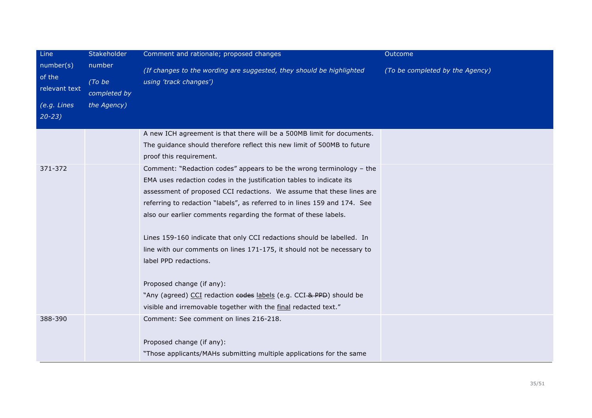| Line                                 | Stakeholder                      | Comment and rationale; proposed changes                                                                                                                                | Outcome                         |
|--------------------------------------|----------------------------------|------------------------------------------------------------------------------------------------------------------------------------------------------------------------|---------------------------------|
| number(s)<br>of the<br>relevant text | number<br>(To be<br>completed by | (If changes to the wording are suggested, they should be highlighted<br>using 'track changes')                                                                         | (To be completed by the Agency) |
| (e.g. Lines                          | the Agency)                      |                                                                                                                                                                        |                                 |
| $20 - 23$                            |                                  |                                                                                                                                                                        |                                 |
|                                      |                                  | A new ICH agreement is that there will be a 500MB limit for documents.                                                                                                 |                                 |
|                                      |                                  | The guidance should therefore reflect this new limit of 500MB to future                                                                                                |                                 |
|                                      |                                  | proof this requirement.                                                                                                                                                |                                 |
| 371-372                              |                                  | Comment: "Redaction codes" appears to be the wrong terminology - the                                                                                                   |                                 |
|                                      |                                  | EMA uses redaction codes in the justification tables to indicate its                                                                                                   |                                 |
|                                      |                                  | assessment of proposed CCI redactions. We assume that these lines are                                                                                                  |                                 |
|                                      |                                  | referring to redaction "labels", as referred to in lines 159 and 174. See                                                                                              |                                 |
|                                      |                                  |                                                                                                                                                                        |                                 |
|                                      |                                  |                                                                                                                                                                        |                                 |
|                                      |                                  | line with our comments on lines 171-175, it should not be necessary to                                                                                                 |                                 |
|                                      |                                  | label PPD redactions.                                                                                                                                                  |                                 |
|                                      |                                  |                                                                                                                                                                        |                                 |
|                                      |                                  | Proposed change (if any):                                                                                                                                              |                                 |
|                                      |                                  | "Any (agreed) CCI redaction codes labels (e.g. CCI-& PPD) should be                                                                                                    |                                 |
|                                      |                                  | visible and irremovable together with the final redacted text."                                                                                                        |                                 |
| 388-390                              |                                  | Comment: See comment on lines 216-218.                                                                                                                                 |                                 |
|                                      |                                  |                                                                                                                                                                        |                                 |
|                                      |                                  | "Those applicants/MAHs submitting multiple applications for the same                                                                                                   |                                 |
|                                      |                                  | also our earlier comments regarding the format of these labels.<br>Lines 159-160 indicate that only CCI redactions should be labelled. In<br>Proposed change (if any): |                                 |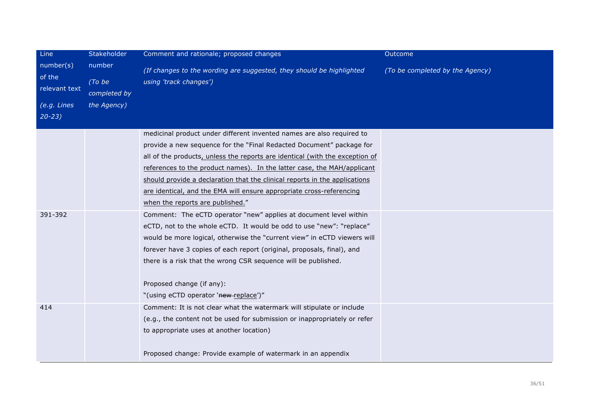| Line                                                | Stakeholder                                     | Comment and rationale; proposed changes                                                                                                                                                                                                                                                                                                                                                                                                                                                            | Outcome                         |
|-----------------------------------------------------|-------------------------------------------------|----------------------------------------------------------------------------------------------------------------------------------------------------------------------------------------------------------------------------------------------------------------------------------------------------------------------------------------------------------------------------------------------------------------------------------------------------------------------------------------------------|---------------------------------|
| number(s)<br>of the<br>relevant text<br>(e.g. Lines | number<br>(To be<br>completed by<br>the Agency) | (If changes to the wording are suggested, they should be highlighted<br>using 'track changes')                                                                                                                                                                                                                                                                                                                                                                                                     | (To be completed by the Agency) |
| $20 - 23$                                           |                                                 |                                                                                                                                                                                                                                                                                                                                                                                                                                                                                                    |                                 |
|                                                     |                                                 | medicinal product under different invented names are also required to<br>provide a new sequence for the "Final Redacted Document" package for<br>all of the products, unless the reports are identical (with the exception of<br>references to the product names). In the latter case, the MAH/applicant<br>should provide a declaration that the clinical reports in the applications<br>are identical, and the EMA will ensure appropriate cross-referencing<br>when the reports are published." |                                 |
| 391-392                                             |                                                 | Comment: The eCTD operator "new" applies at document level within<br>eCTD, not to the whole eCTD. It would be odd to use "new": "replace"<br>would be more logical, otherwise the "current view" in eCTD viewers will<br>forever have 3 copies of each report (original, proposals, final), and<br>there is a risk that the wrong CSR sequence will be published.<br>Proposed change (if any):<br>"(using eCTD operator 'new-replace')"                                                            |                                 |
| 414                                                 |                                                 | Comment: It is not clear what the watermark will stipulate or include<br>(e.g., the content not be used for submission or inappropriately or refer<br>to appropriate uses at another location)<br>Proposed change: Provide example of watermark in an appendix                                                                                                                                                                                                                                     |                                 |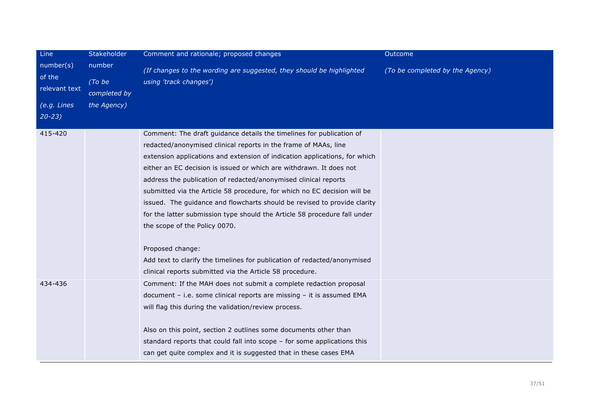| Line                                                             | Stakeholder                                     | Comment and rationale; proposed changes                                                                                                                                                                                                                                                                                                                                                                                                                                                                                                                                                                                                                                                                                                                                                           | Outcome                         |
|------------------------------------------------------------------|-------------------------------------------------|---------------------------------------------------------------------------------------------------------------------------------------------------------------------------------------------------------------------------------------------------------------------------------------------------------------------------------------------------------------------------------------------------------------------------------------------------------------------------------------------------------------------------------------------------------------------------------------------------------------------------------------------------------------------------------------------------------------------------------------------------------------------------------------------------|---------------------------------|
| number(s)<br>of the<br>relevant text<br>(e.g. Lines<br>$20 - 23$ | number<br>(To be<br>completed by<br>the Agency) | (If changes to the wording are suggested, they should be highlighted<br>using 'track changes')                                                                                                                                                                                                                                                                                                                                                                                                                                                                                                                                                                                                                                                                                                    | (To be completed by the Agency) |
| 415-420                                                          |                                                 | Comment: The draft guidance details the timelines for publication of<br>redacted/anonymised clinical reports in the frame of MAAs, line<br>extension applications and extension of indication applications, for which<br>either an EC decision is issued or which are withdrawn. It does not<br>address the publication of redacted/anonymised clinical reports<br>submitted via the Article 58 procedure, for which no EC decision will be<br>issued. The guidance and flowcharts should be revised to provide clarity<br>for the latter submission type should the Article 58 procedure fall under<br>the scope of the Policy 0070.<br>Proposed change:<br>Add text to clarify the timelines for publication of redacted/anonymised<br>clinical reports submitted via the Article 58 procedure. |                                 |
| 434-436                                                          |                                                 | Comment: If the MAH does not submit a complete redaction proposal<br>document - i.e. some clinical reports are missing - it is assumed EMA<br>will flag this during the validation/review process.<br>Also on this point, section 2 outlines some documents other than<br>standard reports that could fall into scope - for some applications this<br>can get quite complex and it is suggested that in these cases EMA                                                                                                                                                                                                                                                                                                                                                                           |                                 |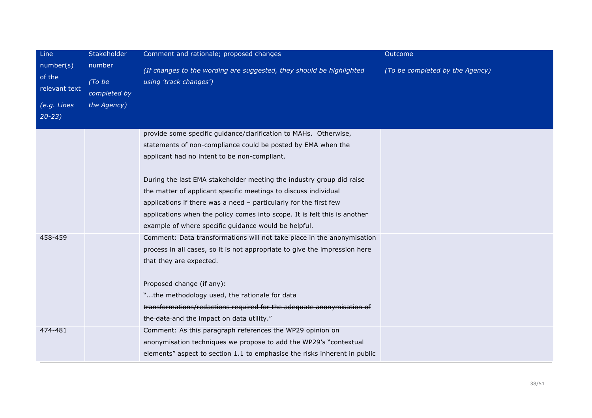| Line                                 | Stakeholder                      | Comment and rationale; proposed changes                                                                                                                                                                                                                                                                                                                                             | <b>Outcome</b>                  |
|--------------------------------------|----------------------------------|-------------------------------------------------------------------------------------------------------------------------------------------------------------------------------------------------------------------------------------------------------------------------------------------------------------------------------------------------------------------------------------|---------------------------------|
| number(s)<br>of the<br>relevant text | number<br>(To be<br>completed by | (If changes to the wording are suggested, they should be highlighted<br>using 'track changes')                                                                                                                                                                                                                                                                                      | (To be completed by the Agency) |
| $(e.g.$ Lines<br>$20 - 23$           | the Agency)                      |                                                                                                                                                                                                                                                                                                                                                                                     |                                 |
|                                      |                                  | provide some specific guidance/clarification to MAHs. Otherwise,<br>statements of non-compliance could be posted by EMA when the<br>applicant had no intent to be non-compliant.                                                                                                                                                                                                    |                                 |
|                                      |                                  | During the last EMA stakeholder meeting the industry group did raise<br>the matter of applicant specific meetings to discuss individual<br>applications if there was a need - particularly for the first few<br>applications when the policy comes into scope. It is felt this is another<br>example of where specific guidance would be helpful.                                   |                                 |
| 458-459                              |                                  | Comment: Data transformations will not take place in the anonymisation<br>process in all cases, so it is not appropriate to give the impression here<br>that they are expected.<br>Proposed change (if any):<br>"the methodology used, the rationale for data<br>transformations/redactions required for the adequate anonymisation of<br>the data and the impact on data utility." |                                 |
| 474-481                              |                                  | Comment: As this paragraph references the WP29 opinion on<br>anonymisation techniques we propose to add the WP29's "contextual<br>elements" aspect to section 1.1 to emphasise the risks inherent in public                                                                                                                                                                         |                                 |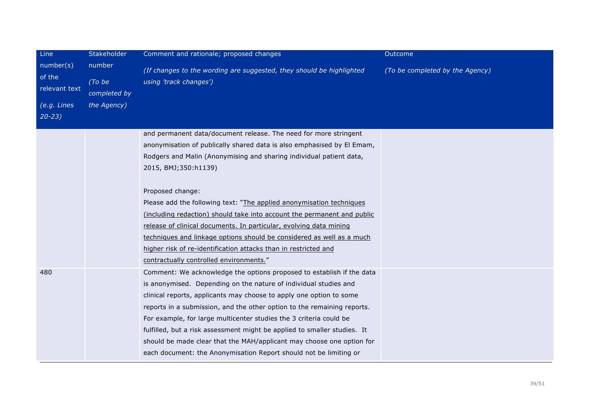| Line<br>number(s)<br>of the<br>relevant text | Stakeholder<br>number<br>(To be<br>completed by | Comment and rationale; proposed changes                                                                                                                                                                                                                                                                                                                                                                                                                                                                                                                                                     | Outcome                         |
|----------------------------------------------|-------------------------------------------------|---------------------------------------------------------------------------------------------------------------------------------------------------------------------------------------------------------------------------------------------------------------------------------------------------------------------------------------------------------------------------------------------------------------------------------------------------------------------------------------------------------------------------------------------------------------------------------------------|---------------------------------|
|                                              |                                                 | (If changes to the wording are suggested, they should be highlighted<br>using 'track changes')                                                                                                                                                                                                                                                                                                                                                                                                                                                                                              | (To be completed by the Agency) |
| (e.g. Lines<br>$20 - 23$                     | the Agency)                                     |                                                                                                                                                                                                                                                                                                                                                                                                                                                                                                                                                                                             |                                 |
|                                              |                                                 | and permanent data/document release. The need for more stringent<br>anonymisation of publically shared data is also emphasised by El Emam,<br>Rodgers and Malin (Anonymising and sharing individual patient data,<br>2015, BMJ; 350: h1139)                                                                                                                                                                                                                                                                                                                                                 |                                 |
|                                              |                                                 | Proposed change:<br>Please add the following text: "The applied anonymisation techniques<br>(including redaction) should take into account the permanent and public<br>release of clinical documents. In particular, evolving data mining<br>techniques and linkage options should be considered as well as a much<br>higher risk of re-identification attacks than in restricted and<br>contractually controlled environments."                                                                                                                                                            |                                 |
| 480                                          |                                                 | Comment: We acknowledge the options proposed to establish if the data<br>is anonymised. Depending on the nature of individual studies and<br>clinical reports, applicants may choose to apply one option to some<br>reports in a submission, and the other option to the remaining reports.<br>For example, for large multicenter studies the 3 criteria could be<br>fulfilled, but a risk assessment might be applied to smaller studies. It<br>should be made clear that the MAH/applicant may choose one option for<br>each document: the Anonymisation Report should not be limiting or |                                 |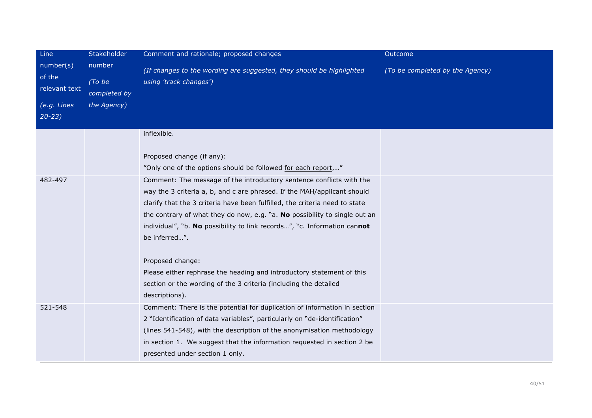| Line                                                             | Stakeholder                                     | Comment and rationale; proposed changes                                                                                                                                                                                                                                                                                                                                                                                                                                                                                                                                                      | Outcome                         |
|------------------------------------------------------------------|-------------------------------------------------|----------------------------------------------------------------------------------------------------------------------------------------------------------------------------------------------------------------------------------------------------------------------------------------------------------------------------------------------------------------------------------------------------------------------------------------------------------------------------------------------------------------------------------------------------------------------------------------------|---------------------------------|
| number(s)<br>of the<br>relevant text<br>(e.g. Lines<br>$20 - 23$ | number<br>(To be<br>completed by<br>the Agency) | (If changes to the wording are suggested, they should be highlighted<br>using 'track changes')                                                                                                                                                                                                                                                                                                                                                                                                                                                                                               | (To be completed by the Agency) |
|                                                                  |                                                 | inflexible.<br>Proposed change (if any):<br>"Only one of the options should be followed for each report,"                                                                                                                                                                                                                                                                                                                                                                                                                                                                                    |                                 |
| 482-497                                                          |                                                 | Comment: The message of the introductory sentence conflicts with the<br>way the 3 criteria a, b, and c are phrased. If the MAH/applicant should<br>clarify that the 3 criteria have been fulfilled, the criteria need to state<br>the contrary of what they do now, e.g. "a. No possibility to single out an<br>individual", "b. No possibility to link records", "c. Information cannot<br>be inferred".<br>Proposed change:<br>Please either rephrase the heading and introductory statement of this<br>section or the wording of the 3 criteria (including the detailed<br>descriptions). |                                 |
| 521-548                                                          |                                                 | Comment: There is the potential for duplication of information in section<br>2 "Identification of data variables", particularly on "de-identification"<br>(lines 541-548), with the description of the anonymisation methodology<br>in section 1. We suggest that the information requested in section 2 be<br>presented under section 1 only.                                                                                                                                                                                                                                               |                                 |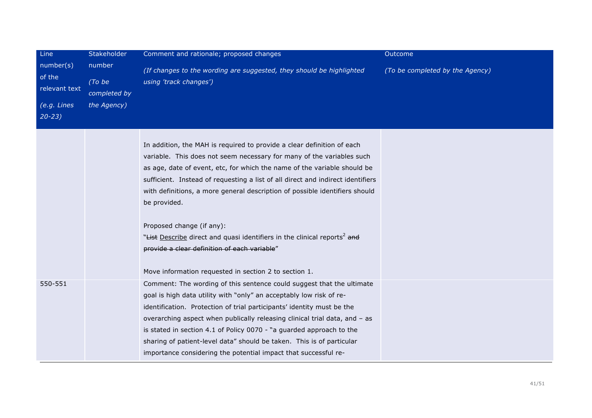| Line                                                             | Stakeholder                                     | Comment and rationale; proposed changes                                                                                                                                                                                                                                                                                                                                                                                                                                                                                                                                                                                                     | Outcome                         |
|------------------------------------------------------------------|-------------------------------------------------|---------------------------------------------------------------------------------------------------------------------------------------------------------------------------------------------------------------------------------------------------------------------------------------------------------------------------------------------------------------------------------------------------------------------------------------------------------------------------------------------------------------------------------------------------------------------------------------------------------------------------------------------|---------------------------------|
| number(s)<br>of the<br>relevant text<br>(e.g. Lines<br>$20 - 23$ | number<br>(To be<br>completed by<br>the Agency) | (If changes to the wording are suggested, they should be highlighted<br>using 'track changes')                                                                                                                                                                                                                                                                                                                                                                                                                                                                                                                                              | (To be completed by the Agency) |
|                                                                  |                                                 | In addition, the MAH is required to provide a clear definition of each<br>variable. This does not seem necessary for many of the variables such<br>as age, date of event, etc, for which the name of the variable should be<br>sufficient. Instead of requesting a list of all direct and indirect identifiers<br>with definitions, a more general description of possible identifiers should<br>be provided.<br>Proposed change (if any):<br>"Hist Describe direct and quasi identifiers in the clinical reports <sup>2</sup> and<br>provide a clear definition of each variable"<br>Move information requested in section 2 to section 1. |                                 |
| 550-551                                                          |                                                 | Comment: The wording of this sentence could suggest that the ultimate<br>goal is high data utility with "only" an acceptably low risk of re-<br>identification. Protection of trial participants' identity must be the<br>overarching aspect when publically releasing clinical trial data, and - as<br>is stated in section 4.1 of Policy 0070 - "a guarded approach to the<br>sharing of patient-level data" should be taken. This is of particular<br>importance considering the potential impact that successful re-                                                                                                                    |                                 |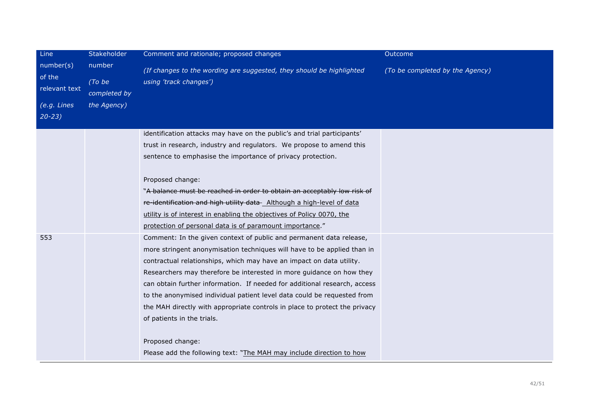| Line                                  | Stakeholder                      | Comment and rationale; proposed changes                                                        | Outcome                         |
|---------------------------------------|----------------------------------|------------------------------------------------------------------------------------------------|---------------------------------|
| number(s)<br>of the<br>relevant text  | number<br>(To be<br>completed by | (If changes to the wording are suggested, they should be highlighted<br>using 'track changes') | (To be completed by the Agency) |
| $\overline{(e.g. Lines}$<br>$20 - 23$ | the Agency)                      |                                                                                                |                                 |
|                                       |                                  | identification attacks may have on the public's and trial participants'                        |                                 |
|                                       |                                  | trust in research, industry and regulators. We propose to amend this                           |                                 |
|                                       |                                  | sentence to emphasise the importance of privacy protection.                                    |                                 |
|                                       |                                  | Proposed change:                                                                               |                                 |
|                                       |                                  | "A balance must be reached in order to obtain an acceptably low risk of                        |                                 |
|                                       |                                  | re-identification and high utility data Although a high-level of data                          |                                 |
|                                       |                                  | utility is of interest in enabling the objectives of Policy 0070, the                          |                                 |
|                                       |                                  | protection of personal data is of paramount importance."                                       |                                 |
| 553                                   |                                  | Comment: In the given context of public and permanent data release,                            |                                 |
|                                       |                                  | more stringent anonymisation techniques will have to be applied than in                        |                                 |
|                                       |                                  | contractual relationships, which may have an impact on data utility.                           |                                 |
|                                       |                                  | Researchers may therefore be interested in more guidance on how they                           |                                 |
|                                       |                                  | can obtain further information. If needed for additional research, access                      |                                 |
|                                       |                                  | to the anonymised individual patient level data could be requested from                        |                                 |
|                                       |                                  | the MAH directly with appropriate controls in place to protect the privacy                     |                                 |
|                                       |                                  | of patients in the trials.                                                                     |                                 |
|                                       |                                  | Proposed change:                                                                               |                                 |
|                                       |                                  | Please add the following text: "The MAH may include direction to how                           |                                 |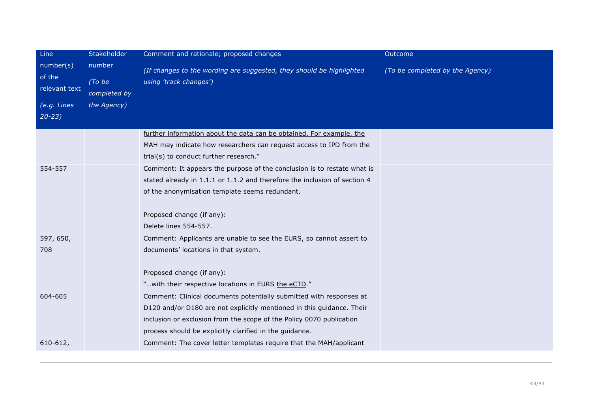| Line                                                             | Stakeholder                                     | Comment and rationale; proposed changes                                                                                                                                                                                                                                         | Outcome                         |
|------------------------------------------------------------------|-------------------------------------------------|---------------------------------------------------------------------------------------------------------------------------------------------------------------------------------------------------------------------------------------------------------------------------------|---------------------------------|
| number(s)<br>of the<br>relevant text<br>(e.g. Lines<br>$20 - 23$ | number<br>(To be<br>completed by<br>the Agency) | (If changes to the wording are suggested, they should be highlighted<br>using 'track changes')                                                                                                                                                                                  | (To be completed by the Agency) |
|                                                                  |                                                 | further information about the data can be obtained. For example, the<br>MAH may indicate how researchers can request access to IPD from the<br>trial(s) to conduct further research."                                                                                           |                                 |
| 554-557                                                          |                                                 | Comment: It appears the purpose of the conclusion is to restate what is<br>stated already in 1.1.1 or 1.1.2 and therefore the inclusion of section 4<br>of the anonymisation template seems redundant.<br>Proposed change (if any):<br>Delete lines 554-557.                    |                                 |
| 597, 650,<br>708                                                 |                                                 | Comment: Applicants are unable to see the EURS, so cannot assert to<br>documents' locations in that system.<br>Proposed change (if any):<br>" with their respective locations in EURS the eCTD."                                                                                |                                 |
| 604-605                                                          |                                                 | Comment: Clinical documents potentially submitted with responses at<br>D120 and/or D180 are not explicitly mentioned in this guidance. Their<br>inclusion or exclusion from the scope of the Policy 0070 publication<br>process should be explicitly clarified in the guidance. |                                 |
| $610 - 612,$                                                     |                                                 | Comment: The cover letter templates require that the MAH/applicant                                                                                                                                                                                                              |                                 |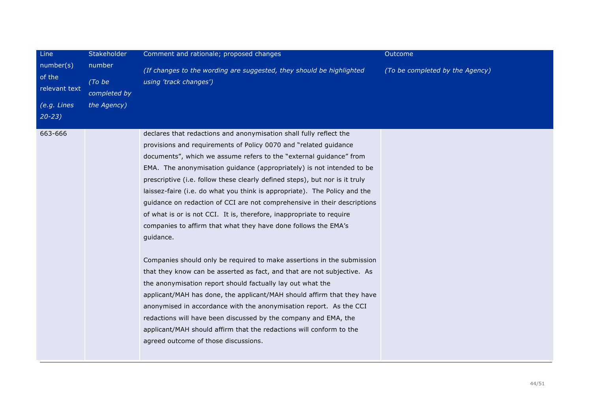| Line                                 | Stakeholder                      | Comment and rationale; proposed changes                                                                                                                                                                                                                                                                                                                                                                                                                                                                                                                                                                                                                                                                                                                                                                                                                                                                                                                                                                                                                                                                                                                                                                                                   | Outcome                         |
|--------------------------------------|----------------------------------|-------------------------------------------------------------------------------------------------------------------------------------------------------------------------------------------------------------------------------------------------------------------------------------------------------------------------------------------------------------------------------------------------------------------------------------------------------------------------------------------------------------------------------------------------------------------------------------------------------------------------------------------------------------------------------------------------------------------------------------------------------------------------------------------------------------------------------------------------------------------------------------------------------------------------------------------------------------------------------------------------------------------------------------------------------------------------------------------------------------------------------------------------------------------------------------------------------------------------------------------|---------------------------------|
| number(s)<br>of the<br>relevant text | number<br>(To be<br>completed by | (If changes to the wording are suggested, they should be highlighted<br>using 'track changes')                                                                                                                                                                                                                                                                                                                                                                                                                                                                                                                                                                                                                                                                                                                                                                                                                                                                                                                                                                                                                                                                                                                                            | (To be completed by the Agency) |
| (e.g. Lines<br>$20 - 23$             | the Agency)                      |                                                                                                                                                                                                                                                                                                                                                                                                                                                                                                                                                                                                                                                                                                                                                                                                                                                                                                                                                                                                                                                                                                                                                                                                                                           |                                 |
| 663-666                              |                                  | declares that redactions and anonymisation shall fully reflect the<br>provisions and requirements of Policy 0070 and "related guidance<br>documents", which we assume refers to the "external guidance" from<br>EMA. The anonymisation guidance (appropriately) is not intended to be<br>prescriptive (i.e. follow these clearly defined steps), but nor is it truly<br>laissez-faire (i.e. do what you think is appropriate). The Policy and the<br>guidance on redaction of CCI are not comprehensive in their descriptions<br>of what is or is not CCI. It is, therefore, inappropriate to require<br>companies to affirm that what they have done follows the EMA's<br>guidance.<br>Companies should only be required to make assertions in the submission<br>that they know can be asserted as fact, and that are not subjective. As<br>the anonymisation report should factually lay out what the<br>applicant/MAH has done, the applicant/MAH should affirm that they have<br>anonymised in accordance with the anonymisation report. As the CCI<br>redactions will have been discussed by the company and EMA, the<br>applicant/MAH should affirm that the redactions will conform to the<br>agreed outcome of those discussions. |                                 |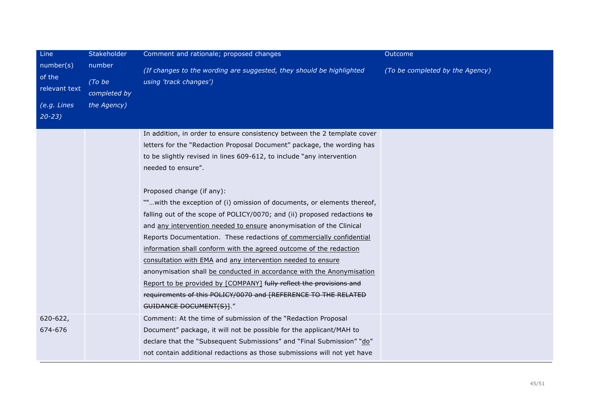| Line                                                | Stakeholder                                     | Comment and rationale; proposed changes                                                                                                                                                                                                                                                                                                                                                                                                                                                                                                                                                                                                                                                                                          | Outcome                         |
|-----------------------------------------------------|-------------------------------------------------|----------------------------------------------------------------------------------------------------------------------------------------------------------------------------------------------------------------------------------------------------------------------------------------------------------------------------------------------------------------------------------------------------------------------------------------------------------------------------------------------------------------------------------------------------------------------------------------------------------------------------------------------------------------------------------------------------------------------------------|---------------------------------|
| number(s)<br>of the<br>relevant text<br>(e.g. Lines | number<br>(To be<br>completed by<br>the Agency) | (If changes to the wording are suggested, they should be highlighted<br>using 'track changes')                                                                                                                                                                                                                                                                                                                                                                                                                                                                                                                                                                                                                                   | (To be completed by the Agency) |
| $20 - 23$                                           |                                                 |                                                                                                                                                                                                                                                                                                                                                                                                                                                                                                                                                                                                                                                                                                                                  |                                 |
|                                                     |                                                 | In addition, in order to ensure consistency between the 2 template cover<br>letters for the "Redaction Proposal Document" package, the wording has<br>to be slightly revised in lines 609-612, to include "any intervention<br>needed to ensure".                                                                                                                                                                                                                                                                                                                                                                                                                                                                                |                                 |
|                                                     |                                                 | Proposed change (if any):<br>""with the exception of (i) omission of documents, or elements thereof,<br>falling out of the scope of POLICY/0070; and (ii) proposed redactions $\leftrightarrow$<br>and any intervention needed to ensure anonymisation of the Clinical<br>Reports Documentation. These redactions of commercially confidential<br>information shall conform with the agreed outcome of the redaction<br>consultation with EMA and any intervention needed to ensure<br>anonymisation shall be conducted in accordance with the Anonymisation<br>Report to be provided by [COMPANY] fully reflect the provisions and<br>requirements of this POLICY/0070 and [REFERENCE TO THE RELATED<br>GUIDANCE DOCUMENT(S)]." |                                 |
| 620-622,<br>674-676                                 |                                                 | Comment: At the time of submission of the "Redaction Proposal<br>Document" package, it will not be possible for the applicant/MAH to<br>declare that the "Subsequent Submissions" and "Final Submission" "do"<br>not contain additional redactions as those submissions will not yet have                                                                                                                                                                                                                                                                                                                                                                                                                                        |                                 |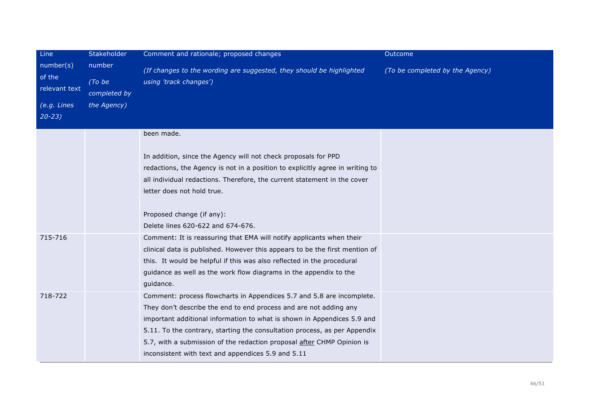| Line                                 | Stakeholder                      | Comment and rationale; proposed changes                                                                                                                                                                                                                                                                                                                                                                                            | Outcome                         |
|--------------------------------------|----------------------------------|------------------------------------------------------------------------------------------------------------------------------------------------------------------------------------------------------------------------------------------------------------------------------------------------------------------------------------------------------------------------------------------------------------------------------------|---------------------------------|
| number(s)<br>of the<br>relevant text | number<br>(To be<br>completed by | (If changes to the wording are suggested, they should be highlighted<br>using 'track changes')                                                                                                                                                                                                                                                                                                                                     | (To be completed by the Agency) |
| (e.g. Lines<br>$20 - 23$             | the Agency)                      |                                                                                                                                                                                                                                                                                                                                                                                                                                    |                                 |
|                                      |                                  | been made.<br>In addition, since the Agency will not check proposals for PPD                                                                                                                                                                                                                                                                                                                                                       |                                 |
|                                      |                                  | redactions, the Agency is not in a position to explicitly agree in writing to<br>all individual redactions. Therefore, the current statement in the cover<br>letter does not hold true.                                                                                                                                                                                                                                            |                                 |
|                                      |                                  | Proposed change (if any):<br>Delete lines 620-622 and 674-676.                                                                                                                                                                                                                                                                                                                                                                     |                                 |
| 715-716                              |                                  | Comment: It is reassuring that EMA will notify applicants when their<br>clinical data is published. However this appears to be the first mention of<br>this. It would be helpful if this was also reflected in the procedural<br>guidance as well as the work flow diagrams in the appendix to the<br>guidance.                                                                                                                    |                                 |
| 718-722                              |                                  | Comment: process flowcharts in Appendices 5.7 and 5.8 are incomplete.<br>They don't describe the end to end process and are not adding any<br>important additional information to what is shown in Appendices 5.9 and<br>5.11. To the contrary, starting the consultation process, as per Appendix<br>5.7, with a submission of the redaction proposal after CHMP Opinion is<br>inconsistent with text and appendices 5.9 and 5.11 |                                 |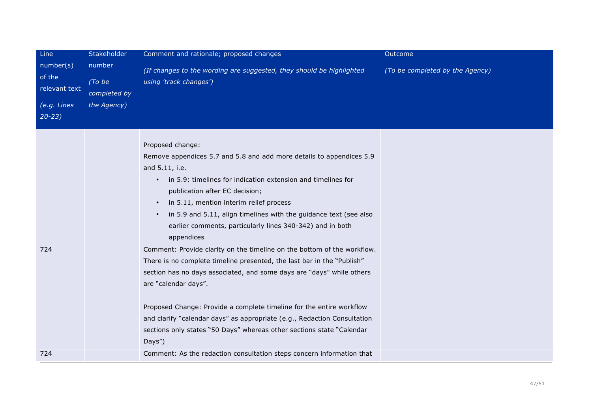| Line                                                | Stakeholder                                     | Comment and rationale; proposed changes                                                                                                                                                                                                                                                                                                                                                                                                                                                                                                                                                             | Outcome                         |
|-----------------------------------------------------|-------------------------------------------------|-----------------------------------------------------------------------------------------------------------------------------------------------------------------------------------------------------------------------------------------------------------------------------------------------------------------------------------------------------------------------------------------------------------------------------------------------------------------------------------------------------------------------------------------------------------------------------------------------------|---------------------------------|
| number(s)<br>of the<br>relevant text<br>(e.g. Lines | number<br>(To be<br>completed by<br>the Agency) | (If changes to the wording are suggested, they should be highlighted<br>using 'track changes')                                                                                                                                                                                                                                                                                                                                                                                                                                                                                                      | (To be completed by the Agency) |
| $20 - 23$                                           |                                                 |                                                                                                                                                                                                                                                                                                                                                                                                                                                                                                                                                                                                     |                                 |
| 724                                                 |                                                 | Proposed change:<br>Remove appendices 5.7 and 5.8 and add more details to appendices 5.9<br>and 5.11, i.e.<br>in 5.9: timelines for indication extension and timelines for<br>$\bullet$<br>publication after EC decision;<br>in 5.11, mention interim relief process<br>$\bullet$<br>in 5.9 and 5.11, align timelines with the guidance text (see also<br>$\bullet$<br>earlier comments, particularly lines 340-342) and in both<br>appendices<br>Comment: Provide clarity on the timeline on the bottom of the workflow.<br>There is no complete timeline presented, the last bar in the "Publish" |                                 |
|                                                     |                                                 | section has no days associated, and some days are "days" while others<br>are "calendar days".<br>Proposed Change: Provide a complete timeline for the entire workflow<br>and clarify "calendar days" as appropriate (e.g., Redaction Consultation<br>sections only states "50 Days" whereas other sections state "Calendar<br>Days")                                                                                                                                                                                                                                                                |                                 |
| 724                                                 |                                                 | Comment: As the redaction consultation steps concern information that                                                                                                                                                                                                                                                                                                                                                                                                                                                                                                                               |                                 |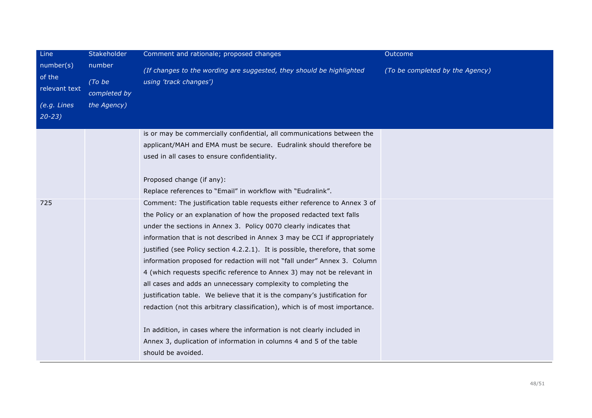| Line                                 | Stakeholder                      | Comment and rationale; proposed changes                                                                                                                                                                                                                                                                                                                                                                                                                                                                                                                                                                                                                                                                                                                                 | Outcome                         |
|--------------------------------------|----------------------------------|-------------------------------------------------------------------------------------------------------------------------------------------------------------------------------------------------------------------------------------------------------------------------------------------------------------------------------------------------------------------------------------------------------------------------------------------------------------------------------------------------------------------------------------------------------------------------------------------------------------------------------------------------------------------------------------------------------------------------------------------------------------------------|---------------------------------|
| number(s)<br>of the<br>relevant text | number<br>(To be<br>completed by | (If changes to the wording are suggested, they should be highlighted<br>using 'track changes')                                                                                                                                                                                                                                                                                                                                                                                                                                                                                                                                                                                                                                                                          | (To be completed by the Agency) |
| $(e.g.$ Lines<br>$20 - 23$           | the Agency)                      |                                                                                                                                                                                                                                                                                                                                                                                                                                                                                                                                                                                                                                                                                                                                                                         |                                 |
|                                      |                                  | is or may be commercially confidential, all communications between the<br>applicant/MAH and EMA must be secure. Eudralink should therefore be<br>used in all cases to ensure confidentiality.                                                                                                                                                                                                                                                                                                                                                                                                                                                                                                                                                                           |                                 |
|                                      |                                  | Proposed change (if any):<br>Replace references to "Email" in workflow with "Eudralink".                                                                                                                                                                                                                                                                                                                                                                                                                                                                                                                                                                                                                                                                                |                                 |
| 725                                  |                                  | Comment: The justification table requests either reference to Annex 3 of<br>the Policy or an explanation of how the proposed redacted text falls<br>under the sections in Annex 3. Policy 0070 clearly indicates that<br>information that is not described in Annex 3 may be CCI if appropriately<br>justified (see Policy section 4.2.2.1). It is possible, therefore, that some<br>information proposed for redaction will not "fall under" Annex 3. Column<br>4 (which requests specific reference to Annex 3) may not be relevant in<br>all cases and adds an unnecessary complexity to completing the<br>justification table. We believe that it is the company's justification for<br>redaction (not this arbitrary classification), which is of most importance. |                                 |
|                                      |                                  | In addition, in cases where the information is not clearly included in<br>Annex 3, duplication of information in columns 4 and 5 of the table<br>should be avoided.                                                                                                                                                                                                                                                                                                                                                                                                                                                                                                                                                                                                     |                                 |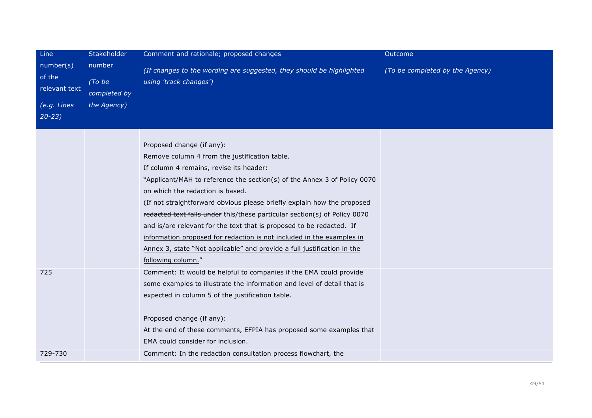| Line                                                             | Stakeholder                                     | Comment and rationale; proposed changes                                                                                                                                                                                                                                                                                                                                                                                                                                                                                                                                                                                                         | Outcome                         |
|------------------------------------------------------------------|-------------------------------------------------|-------------------------------------------------------------------------------------------------------------------------------------------------------------------------------------------------------------------------------------------------------------------------------------------------------------------------------------------------------------------------------------------------------------------------------------------------------------------------------------------------------------------------------------------------------------------------------------------------------------------------------------------------|---------------------------------|
| number(s)<br>of the<br>relevant text<br>(e.g. Lines<br>$20 - 23$ | number<br>(To be<br>completed by<br>the Agency) | (If changes to the wording are suggested, they should be highlighted<br>using 'track changes')                                                                                                                                                                                                                                                                                                                                                                                                                                                                                                                                                  | (To be completed by the Agency) |
|                                                                  |                                                 | Proposed change (if any):<br>Remove column 4 from the justification table.<br>If column 4 remains, revise its header:<br>"Applicant/MAH to reference the section(s) of the Annex 3 of Policy 0070<br>on which the redaction is based.<br>(If not straightforward obvious please briefly explain how the proposed<br>redacted text falls under this/these particular section(s) of Policy 0070<br>and is/are relevant for the text that is proposed to be redacted. If<br>information proposed for redaction is not included in the examples in<br>Annex 3, state "Not applicable" and provide a full justification in the<br>following column." |                                 |
| 725                                                              |                                                 | Comment: It would be helpful to companies if the EMA could provide<br>some examples to illustrate the information and level of detail that is<br>expected in column 5 of the justification table.<br>Proposed change (if any):<br>At the end of these comments, EFPIA has proposed some examples that<br>EMA could consider for inclusion.                                                                                                                                                                                                                                                                                                      |                                 |
| 729-730                                                          |                                                 | Comment: In the redaction consultation process flowchart, the                                                                                                                                                                                                                                                                                                                                                                                                                                                                                                                                                                                   |                                 |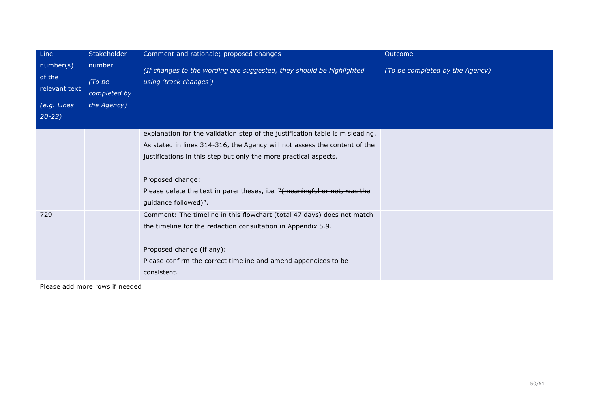| Line                                                             | Stakeholder                                     | Comment and rationale; proposed changes                                                                                                                                                                                                                                                                                                                | Outcome                         |
|------------------------------------------------------------------|-------------------------------------------------|--------------------------------------------------------------------------------------------------------------------------------------------------------------------------------------------------------------------------------------------------------------------------------------------------------------------------------------------------------|---------------------------------|
| number(s)<br>of the<br>relevant text<br>(e.g. Lines<br>$20 - 23$ | number<br>(To be<br>completed by<br>the Agency) | (If changes to the wording are suggested, they should be highlighted<br>using 'track changes')                                                                                                                                                                                                                                                         | (To be completed by the Agency) |
|                                                                  |                                                 | explanation for the validation step of the justification table is misleading.<br>As stated in lines 314-316, the Agency will not assess the content of the<br>justifications in this step but only the more practical aspects.<br>Proposed change:<br>Please delete the text in parentheses, i.e. "(meaningful or not, was the<br>guidance followed)". |                                 |
| 729                                                              |                                                 | Comment: The timeline in this flowchart (total 47 days) does not match<br>the timeline for the redaction consultation in Appendix 5.9.<br>Proposed change (if any):<br>Please confirm the correct timeline and amend appendices to be<br>consistent.                                                                                                   |                                 |

Please add more rows if needed